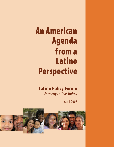# An American Agenda from a Latino Perspective

**Latino Policy Forum** *Formerly Latinos United*

**April 2008**

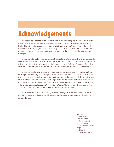## Acknowledgements

We are grateful to the organizations that helped organize and host community meetings across the region. They are: Institute for Latino Studies at the University of Notre Dame, Berwyn; MacNeal Hospital, Berwyn-Cicero; Citizens in Action Seeking Answers, Blue Island; The Latino Coalition, Waukegan; Lake County Community College; Family Focus, Aurora; LULAC Aurora Chapter; Bickerdike Redevelopment Corporation, Chicago; Alivio Medical Center, Chicago; and Casa Michoacan, Chicago. We deeply appreciate the hundreds of people who participated in the meetings for providing profound insight, clear ideas and a vision for the community reflected in this agenda.

Latinos United wishes to acknowledge the organizations that released important policy reports relevant to Latinos during the last two years. We drew important data and adopted some of the recommendations from The State of Latino Chicago and Forging the Tools for Unity by the University of Notre Dame, Institute for Latino Studies; A Shared Future: The Economic Engagement of Greater Chicago and Its Mexican Community by the Chicago Council on Global Affairs; and For the Benefit of All by the New Americans Policy Council.

Latinos United would like to express its appreciation to staff, board members and consultants for convening and facilitating community meetings, conducting research, writing and editing the document. Thanks to Maricela García for her leadership and commitment to develop a policy agenda based on a community participatory process, and for her role as the lead writer of this document. Latinos United is also grateful to Beatriz Ponce De León, the project consultant, for her assistance throughout the production of this report. We want to express our appreciation to Maribel Rios Louie for organizing meetings with 500 participants and writing parts of the report, and to Benjamin Osborne, Adriana Moreno Nevárez and Cassandra Villanueva for their writing and editing assistance. Thanks to Sylvia Puente for providing information, analysis and perspective throughout the process.

Latinos United is thankful to The Joyce Foundation, The Chicago Community Trust, The John D. and Catherine T. MacArthur Foundation, the Woods Fund of Chicago, and the Alphawood Foundation for their support to identify and move forward a Latino policy agenda for the region.

> Lead writter: *Maricela García* Contributing writters: *Beatriz Ponce De León Benjamin Osborne and Adriana Moreno Nevárez* Design: *Edgar Ayala ayaladesign@sbcglobal.net*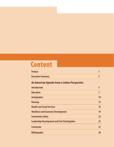# **Content**

| <b>Preface</b>                                        | 1              |
|-------------------------------------------------------|----------------|
| <b>Executive Summary</b>                              | $\overline{2}$ |
| An American Agenda from a Latino Perspective          |                |
| <b>Introduction</b>                                   | 5              |
| <b>Education</b>                                      | $\overline{7}$ |
| <b>Immigration</b>                                    | 10             |
| <b>Housing</b>                                        | 13             |
| <b>Health and Social Services</b>                     | 16             |
| <b>Workforce and Economic Development</b>             | 19             |
| <b>Community Safety</b>                               | 22             |
| <b>Leadership Development and Civic Participation</b> | 25             |
| <b>Conclusion</b>                                     | 27             |
| <b>Bibliography</b>                                   | 28             |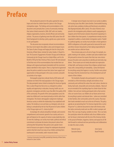## Preface

We are pleased to present in this policy agenda the voices, hopes and vision for a better future for Latinos in the Chicago metropolitan region. The findings and recommendations in this document come primarily from a series of community meetings that Latinos United convened in 2006-2007 with civic leaders, religious organizations, business, elected officials and community activists. The process of gathering more than 600 Latinos from different backgrounds to develop a policy agenda was a great exercise in civic participation.

This document also incorporates relevant recommendations from four recent reports that address Latino and immigrant issues: The State of Latino Chicago and Forging the Tools for Unity by the University of Notre Dame, Institute for Latino Studies; A Shared Future: The Economic Engagement of Greater Chicago and Its Mexican Community by the Chicago Council on Global Affairs; and For the Benefit of All by the New American Policy Council. We were pleased to find that most of the recommendations that resulted from our dialogue with regional participants dovetailed with the recommendations identified in these reports. There is a high level of agreement about the policies needed to ensure that Latinos have support and opportunities to fully participate in the social, economic and political activities of our region.

Demographic projections indicate that by 2030 Latinos will constitute one third of the total population in the Chicago region. This data prompted Latinos United to develop this American Agenda from a Latino Perspective that serves as a blueprint to achieve equality and opportunity in education, housing, health care, employment, immigration and other issues that affect the quality of life of this community. The growth of the Latino population across the nation has shifted and is now based primarily on births rather than immigration. This historic demographic realignment challenges American society to rethink the relationship it has established with Latinos. The tendency to see and treat us as foreigners who do not belong is contradicted by the fact that 90 percent of Latino children in the Chicago region are U.S. citizens by birth.<sup>1</sup>

Increasingly, the cultural and political strength, and economic competitiveness and economic growth of our country and our region will depend on the capacity of Latinos to play leadership roles. To meet this challenge, our society must make a political and ethical commitment to eliminate the barriers that prevent Latinos from achieving their full potential. New policies and a greater investment of resources are urgent to change the inadequate educational systems that fail to teach too many of our children and keep them warehoused in overcrowded, under-resourced schools.

<sup>1</sup> American Community Survey2006, provided by University of Notre Dame, Institute for Latino Studies.

A stronger sense of equity must exist in our society to address the housing issues that affect Latino families. Overcrowded housing, sub-prime loans, predatory lending and foreclosures are problems that disproportionately affect Latinos. The value of fairness must prevail in the immigration policy debate to avoid scapegoating immigrants and to find humane solutions that prevent separating U.S. born children from their parents. A comprehensive remedy must be negotiated to address a clearly broken immigration system. Parallel to a political agenda, our society must articulate a moral agenda to fulfill its obligations to the public good and to transcend the racial and ethnic tensions that prevent us from taking responsibility for one another and our collective future.

These tensions play out in all sorts of ways: for example, at a public meeting in the suburbs, a resident said Latino residents have felt pressured to remove the rosaries from their rear-view mirrors because the police were using these to identify and selectively stop drivers. These rosaries are not merely decorative but expressions of deep faith, and having to remove these religious symbols leaves many with a strong feeling of vulnerability. Latinos feel blamed for everything wrong that happens in society. Families worry about the impact that this environment has in the development and self esteem of their children.

The hundreds of people who participated in our meeting reminded us of the tremendous strength and resilience of our community and confirmed the values that unite Latinos: devotion to family, hard work, strong faith and community solidarity. Above all we are reminded of the unyielding hope for a better future for their children. Over and over meeting participants told us that *nuestros niños son nuestro futuro*, our children are our future and we must do everything to protect and educate them. Latinos are committed to their families, their communities and to this country. They have their hands extended to reach out to the rest of America. The policy agenda we are presenting here "*An American Agenda from a Latino Perspective*" is a collective document to share with America what the Latino community needs and can offer in order to prosper and thrive. This is our way of saying: outsiders no more. This is our land, the sacred place where the umbilical cords of our children are buried. Our future is intertwined with the rest of the American family in the pursuit of freedom, happiness, fairness and equity for all. We look forward to continued and new partnerships and collaborations to make this vision a reality

Maricela García **Maricela García** Jesús García Executive Director **Board President**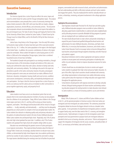#### Executive Summary

#### Introduction

*The American Agenda from a Latino Perspective* reflects the voices, hopes and vision for a better future for Latinos and the Chicago metropolitan region. The analysis and recommendations come primarily from a series of community meetings that Latinos United convened in 2006-2007 with more than 600 civic leaders, religious organizations, businesses, elected officials, and community activists. This document also incorporates relevant recommendations from four recent reports that address Latino and immigrant issues: The State of Latino Chicago and Forging the Tools for Unity by the University of Notre Dame, Institute for Latino Studies; A Shared Future by the Chicago Council on Global Affairs; and For the Benefit of All by the New Americans Policy Council.

Latinos have a long history in the Chicago region. From the early19th century to the present, large numbers of Latinos have been part of the social and economic fabric of the city. At 1.7 million, the Latino population in the region is the third largest in the United States. In addition, the economic contributions of Latinos in the region cannot be overlooked. Illinois ranked 5th highest in Latino buying power at \$34.8 billion in 2006 and in the metropolitan Chicago region, Latinos have a combined household income of more than \$20 billion.

The hundreds of people who participated in our meetings reminded us, through their personal stories, of the tremendous strength and resilience of the Latino community and confirmed the values that unite Latinos: devotion to family, hard work, strong faith, and community solidarity. The challenges discussed in this report are presented as specific to the Latino community; however, the policy and program directions proposed in seven areas are universal and can make a difference for all Americans: education, immigration, housing, health and social services, workforce and economic development, community safety, and leadership development and civic participation. Our hope is that this *American Agenda from a Latino Perspective* serves as an advocacy tool for Latinos and as an invitation to other communities to pursue together opportunity, equity, and prosperity for all.

#### **Education**

Latino students must have access to an educational system that not only prepares them to be economically productive members of society, but also prepares them for a lifetime of civic participation. Today, 90% of Latino children in the Chicago metro region were born in the U.S. and they will be among our future teachers, engineers, and leaders. Their bilingual and bicultural skills will be critical to Chicago's workforce — locally, nationally, and internationally — and they must be adequately prepared by our school systems to compete in the local and global labor market. Yet, Latino students face obstacles in obtaining quality early and primary education, and the patterns of underachievement rooted in the lack of early childhood education follow Latino students into and beyond high school. Regionally, only 53% of Latinos who enter high school graduate four years later. In addition, only 31% of Latino students who graduate from high school will complete college within six years.

Education was overwhelmingly the greatest concern of Latino participants in our regional conversations. They expressed deep frustration about the failure of Chicago Public Schools and, increasingly, suburban districts to educate many Latino children, as demonstrated by high school dropout rates, low academic performance, and the low number of Latino students who are prepared for and enroll in college. The major barriers identified during the meetings were lack of facilities for preschool programs, overcrowded and under resourced schools, and teachers and administrators that lack understanding and skills to effectively motivate and teach Latino students and engage their parents. They also emphasized the need for culturally relevant curriculum, scholarships, mentoring, and parent involvement in the college application process.

#### Highlighted Recommendations

- State legislators should make Preschool For All, Head Start and other quality early childhood education programs more accessible to Latino children by allocating capital funds to build facilities in underserved Latino neighborhoods and by allocating resources to provide affordable full day programs to parents who are employed with non-traditional work schedules.
- The state should allocate funds to create cohorts and provide scholarships to expand the pool of trained and qualified bilingual/bicultural teachers and administrators for early childhood education, elementary, and high school. Within this, it is necessary that foundations, businesses, and schools create a Latino Future Educators Fund to encourage Latinos to become bilingual/bicultural teachers and principals through targeted scholarships and other financial and academic support.
- Educational institutions need to conduct appropriate and vigorous outreach activities to ensure parent and community participation in leadership roles within city and suburban schools to improve educational outcomes for Latino students.
- Schools should have an articulated plan of action to mentor and support Latino students to graduate from high school and pursue higher education. As part of this effort, high school counselors should coordinate with university and college representatives to disseminate more widely information among Latino parents about the importance of college education and support them throughout the application process.
- School districts should partner with regional universities to develop culturally relevant, bilingual training programs for future teachers and develop continuing education programs for existing teachers to make education more relevant to Latino students as a means of increasing academic success and retention.

#### Immigration

Nearly 70% of Latinos are U.S. citizens and 90% of Latino children are born in the U.S., yet the general perception in American society is that most Latinos are immigrants and most immigrants are undocumented. The controversy around the immigration debate has become the biggest obstacle to discuss a broader Latino policy agenda. A new generation of comprehensive immigration policies is needed to support family unity, meet the labor needs of the U.S. economy, and strengthen national security. Failed attempts in Congress to fix the immigration system have prompted some local governments to propose harsh anti-immigrant ordinances intended to limit access to housing, education, and services. Policies and programs to support the integration of immigrants into the social, economic, and political fabric of the U.S. are necessary at the federal, state and local levels.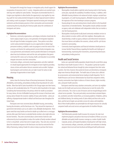Participants felt strongly that changes in immigration policy should support the incorporation of newcomers into U.S. society. Integration policies are essential to provide long-term stability for Latino families. Participants recommended that the U.S. Congress pass legislation to allow families the opportunity to stay together by creating a path for most undocumented immigrants to obtain legal permanent residence and creating a work visa program. Participants reported increasing anti-immigrant sentiments and discriminatory practices in their communities and recommended counteracting them by educating the American public about the contributions of immigrants and Latinos.

#### Highlighted Recommendations

- Businesses, community organizations, and religious institutions should take the lead in urging Congress to pass a new generation of immigration legislation that will repair the broken immigration system. These policies must allow current undocumented immigrants to access opportunities to obtain legal permanent residency, establish a work visa program to meet the needs of the economy, and shorten the waiting period to receive family immigration visas.
- Local governments and institutions need to provide information to immigrants about how local institutions work and the rules and regulations that govern community life in areas such as housing, health, and education to successfully integrate newcomers into their communities.
- Community colleges, community-based organizations and other stakeholders should expand opportunities for immigrants to learn English by providing classes at times and locations that are convenient and accessible. Employerbased programs and incentives also can make it easier for Latinos to take advantage of opportunities to learn English.

#### Housing

Latinos share the American Dream of becoming homeowners. But housing affordability, overcrowding, and predatory lending remain big obstacles for Latino families. More than half of Latino households in the Chicago region own their homes, yet they are still considerably below the 79 % rate for white households in the region. Considering that homeownership is the primary vehicle for wealth accumulation for many Latinos, the lack of affordable housing and the increase in foreclosure rates among Latinos threaten the economic stability of many Latino families. Latinos are suffering a disproportionate burden in default and foreclosure rates throughout the United States.

Participants were most concerned about affordable housing, overcrowding, housing discrimination, and the foreclosure crisis. They stressed the importance of government interventions such as set-asides in new affordable developments. Participants noted that many families are forced to double up to afford rent or a mortgage and also often open their homes to extended family members who might otherwise become homeless. They were concerned about current trends of selective code enforcement by local municipalities to reduce the number of family members allowed to live in a household–actions that seem to target Latinos. They were also concerned about the institutional response to the foreclosure crisis that has restricted the flexibility of borrowing, making it harder for Latinos to keep or purchase their homes.

#### Highlighted Recommendations

- Municipalities should address explicitly Latino housing needs in their housing action plan, especially the availability of workforce housing. In addition, other affordable housing initiatives to be advanced include: employer-assisted housing programs, set-aside housing programs, affordable housing trust funds, and the expansion of first-time homebuyer assistance programs.
- Housing design for new and existing homes should conform to the household characteristics of extended families. Municipalities should carefully reconsider occupancy codes and collaborate with independent entities that can monitor a city's fair housing practices.
- Municipalities should provide locally based community mediation services to allow residents to resolve conflicts with their neighbors. Municipalities also should develop a model occupancy ordinance and enforcement mechanisms that ensure fairness and address the economic, cultural, and life-cycle factors involved in overcrowding.
- Community-based organizations and financial institutions should partner to increase families' financial literacy regarding the benefits and challenges of homeownership, maximizing their investments, and preventing foreclosures and predatory lending practices.

#### Health and Social Services

Latinos are a generally healthy population despite being the racial/ethnic group least likely to have health insurance in the U.S. This paradox is partly due to protective cultural and behavioral factors brought by Latino immigrants from their native countries. Over time, however, these protective factors are diminished as immigrants adopt more American lifestyle habits. The health status of Latinos also is affected by socioeconomic and environmental factors leading to health disparities. The U.S. Health Resources and Services Administration has found that compared to whites, minority communities have higher incidences of chronic diseases, higher mortality rates, and poorer health outcomes.

Participants noted that many suburban communities, and some city neighborhoods, lack the health and social services infrastructure to meet the needs of the Latino community. This is due to a lack of resources and not enough bilingual and bicultural service providers. They were particularly concerned about untreated depression, alcoholism and other mental illness; an increasing epidemic of diabetes, asthma and childhood obesity; the evolving needs of Latino elderly and those who care for them; and the lack of respite care and other services for Latinos with disabilities. Most of these health problems are preventable but will require resources for culturally competent health and social services and opportunities for healthier lifestyles.

#### Highlighted Recommendations

- Until federal policy provides health insurance for everyone, the state must implement programs and policies that ensure all residents of Illinois can access affordable and quality health insurance coverage as a matter of public health.
- Corporate, private, and hospital foundations should partner with high schools, local community colleges, universities, and health care institutions to develop programs that recruit and train bicultural and bilingual health professionals.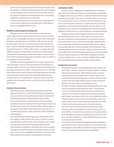- Community-based organizations and mental heath programs should increase the availability of culturally and linguistically appropriate counseling programs to address depression and other mental health issues that impact many Latinos, particularly immigrants, due to separation from family, social alienation, and difficulties adjusting to their new communities.
- Community-based organizations and community clinics should expand community education programs that increase health literacy, healthy behaviors, and access to appropriate health care services.

#### Workforce and Economic Development

Latinos are a major force in the economy of Illinois and indeed the entire country. Nearly 10% of the region's total household income and nearly 15% of the state's labor force was attributable to the Latino community in 2004. Illinois ranked 5th highest in Latino buying power at \$34.8 billion in 2006, and in the metropolitan Chicago region Latinos have a combined household income of more than \$20 billion. Latinos are responsible for approximately "40,000 Latino-owned businesses that generated more than \$7.5 billion in 2002 revenues." As companies face serious challenges in replacing a retiring workforce, the viability of our regional economy increasingly will be dependent upon a skilled Latino workforce. However, without a concerted effort for educational opportunities and workforce, Latinos will continue to be at the bottom of the economic ladder.

Participants emphasized that opportunities for well-paying employment and a good career ladder are critical to Latinos of all income levels, particularly for the incumbent workforce, if they are to access healthcare, attain homeownership, and afford a college education for their children. They expressed the need for a communitywide strategy to provide a variety of training and educational experiences, promoting continuous education and self-improvement including GED, English classes, and technology literacy to close the digital divide. Participants were concerned about workplace safety and stressed that workers need to be better informed about labor rights and laws.

#### Highlighted Recommendations

- Public and private funds should be increased to promote adult education programs that help Latinos earn their GED, attend English-language classes, and access information technology training that will provide a foundation for continued skill development and opportunities for upward mobility.
- Business, private foundations, government, labor and community-based organizations should increase funding and form partnerships to provide holistic job training that is inclusive of the incumbent workforce leading to opportunities for practical career ladders in projected growth economic sectors such as the service industry, education, health, transportation, skilled manufacturing, and transportation.
- State and professional accreditation organizations should establish a system for accreditation of skills acquired in other countries, to allow for an increase of qualified bilingual staff in industries currently struggling to meet a growing Latino population and build upon already acquired professional skills.
- Latino entrepreneurs should partner with private investors, banks, and government agencies to expand their businesses through venture capital and shared equity. At the same time, municipalities should support Latino entrepreneurship by offering technical assistance, and providing financial education.

#### Community Safety

Not only are Latinos, including youth, overrepresented in the criminal justice system, they also are treated more harshly than non-Latino whites, even when they are charged with the same types of offenses. According to the Illinois Criminal Justice Information Authority (2003), Latino youth were detained in Illinois at twice the rate of their white counterparts, and were committed to the Illinois Department of Corrections at a rate 45% greater than white youth. Targeted enforcement, mistreatment, language barriers, and biased decision-making erode community safety, trust, and relationships with law enforcement. Racial profiling by law enforcement has added implications for Latinos because it can result in deportation and separation of families.

 Participants expressed a need to strengthen relationships with law enforcement and the juvenile justice system in order to address the root causes of crime and violence and decrease the overrepresentation of Latinos in both the adult and juvenile justice systems. They are concerned that public safety is jeopardized when Latinos fear harassment and abuse by the police and, therefore, become unlikely to seek police help, report crime, or otherwise cooperate with law enforcement. Many participants pointed out that the increasing anti-immigrant sentiment in their communities often results in discriminatory practices toward Latinos and that new policies that allow local police departments to enforce federal immigration laws will have a significant negative impact on Latino communities, inevitably resulting in higher levels of racial profiling, police misconduct, and other civil rights violations.

#### Highlighted Recommendations

- Bring together local leaders, community organizations, police, educators, and church leaders to develop a comprehensive strategy that addresses community safety and community cohesion. With the ability to provide a vast array of culturally and linguistically competent services throughout Chicago, Latino community-based organizations and leaders are ready to build a partnership for public safety that leverages available resources to sustain and strengthen prevention, intervention, aftercare, and reintegration services.
- The number of culturally competent Latino and bilingual professionals in state and local criminal justice agencies should be increased. When the system is more "user-friendly," the goals of fairness and justice are more likely to be achieved. This can be done by recruiting, hiring, and training more attorneys, public defenders, and advocates who are Latino, or who speak Spanish and are culturally competent, to direct and conduct services for Latinos; and by ensuring that numbers of Latino employees at all levels closely reflect the numbers of Latinos served by criminal justice agencies, both public and private.
- Work more closely with community-based organizations for prevention, intervention, aftercare, and as alternatives to incarceration for low-level, nonviolent offenders. Currently, the Latino community is severely under-utilized as the first best defense for preventing and addressing crime and violence when it occurs. The Latino community has a vested interested in reducing crime, since we are also many times the victim.
- School districts and community-based organizations should work together to ensure that there are after-school and recreational activities, and youth leadership development to keep children and adolescents involved and motivated to succeed. Such approaches provide alternatives to gang affiliation.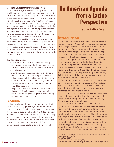#### Leadership Development and Civic Participation

The Latino community must achieve sustainable, proportionate civic participation while broadening the social agenda for equality and opportunity for all Americans. To do this, Latinos must continue to develop strong leadership skills to advocate on their own behalf and participate in the decision-making processes that affect their quality of life. Despite low voter registration rates, those Latinos who are registered do vote in high numbers. The number of elected Latino officials in municipal, county, and state government has increased steadily in recent years due to coalition-building and changing demographics, and in 2003 Latino state legislators organized the first Latino Caucus in Illinois. Young Latinos must receive the mentoring and leadership training necessary to earn positions of power in community organizations and governmental institutions for the benefit of all communities.

Regional conversation participants emphasized that without more Latino leadership development opportunities and an increase in civic participation, local municipalities and state agencies most likely will continue to ignore the needs of this growing population. Greater participation by Latinos in key decision-making positions will enable Latinos to address critical issues such as education, jobs, affordable housing, and transportation, which are critical to the Latino community and to the region as a whole.

#### Highlighted Recommendations

- Chicago businesses, cultural institutions, universities, media outlets, philanthropic organizations and corporations should examine the make up of their boards and develop plans to incorporate Latino leaders to reflect better the demographics of the region.
- Latino organizations should step up their efforts to engage in voter registration, education, and mobilization to increase the participation of Latinos in the electoral process and to build the political power by identifying, training and supporting Latino candidates for local school councils, suburban school boards, planning and zoning boards, and higher public office that represent the interests of the Latino community.
- Municipal leaders should increase outreach efforts and work collaboratively with existing institutions to increase civic participation among foreign- and native-born Latinos and take a proactive, long-term approach to appointing them to various city boards and commissions.

#### Conclusion

The dreams of Latinos are the dreams of all Americans. Access to quality education and health care, well-paying employment, and political enfranchisement are expected by every American. The policy agenda we present here *An American Agenda from a Latino Perspective* is a collective document to share with the Chicago region and the country about what the Latino community needs, and can do, in partnership with the rest of America, in order to prosper and thrive. This is our way of saying: outsiders no more. Our future is intertwined with the rest of the American family in the pursuit of freedom, happiness, fairness and equity for all. We look forward to continued and new partnerships and collaborations to make this vision a reality.

## An American Agenda from a Latino **Perspective**

### **Latino Policy Forum**

### Introduction

Latinos have a long history in the Chicago region. From the early19th century to the present, large numbers of Mexican, Puerto Rican, and recently South and Central American immigrants have been part of the economic and social fabric of the city. Like other migrants, they've come looking for work and other opportunities for their families, or seeking refuge from political turmoil. Decisions to migrate to Chicago have been pushed and pulled by the forces of global economics, violent political turmoil, U.S. immigration policy, and globalization. And decisions to stay have depended on the availability of educational, economic, social and cultural opportunities to achieve the American dream that Latinos have found in the Chicago region.

Today, the Latino population in the Chicago metropolitan region is the third largest in the United States. At 1.7 million, Latinos are the largest ethnic group in the region and account for one-fifth of the total population. Almost 80% of all Chicagoarea Latinos are of Mexican descent and, perhaps surprisingly, more than half, 55%, live in the suburbs.<sup>2</sup> Much of this Latino population growth was experienced in the 1990s, when the annual rate of the 1970s and 1980s doubled.<sup>3</sup>

While immigration has been the principal factor in the expansion of the Latino community, in recent years this growth mostly has been due to U.S. births. Between 2004 and 2006, 72% of the increase of the Latino population was due to an increase in the number of Latino children born here.<sup>4</sup> Latinos are a young population with high birth rates, and this trend is expected to continue.

Latinos are projected to become one-third of the total population in the Chicago region by 2030.<sup>5</sup> The children of today's Latinos will be the workers, leaders and taxpayers of tomorrow. Investing in them and their parents is critical to ensuring Chicago's future as a prosperous metropolitan region.

The expansion of the Latino community has had an impact upon both the city and suburbs, in both positive and challenging ways. While local municipalities, many unfamiliar with Latino or immigrant communities, are challenged to meet their health, human services, and educational needs, Latinos' economic contributions cannot be overlooked: Latino entrepreneurs play an essential role in the economic and social development of many communities in the state of Illinois. Latino entrepreneurs contribute towards the stimulation of business growth and employment which in turn adds to the vitality of commercial centers and surrounding neighborhoods. Nationally, the buying power of Latinos is expected to reach over \$1.2 trillion by 2011.<sup>6</sup> In Illinois, the approximately 40,000 Latino-owed businesses generated more than \$7.5 billion in revenues in 2002 and in the Chicago region the combined household

6 Selig Center for Economic Growth, Terry College of Business, The University of Georgia, June 2006.

<sup>&</sup>lt;sup>2</sup> American Community Survey 2006, provided by University of Notre Dame Institute for Latino Studies. <sup>3</sup> Ready & Brown-Gort, (2005), p.7.

 <sup>4</sup> Alejo & Puente, (2007).

<sup>&</sup>lt;sup>5</sup> Northeastern Illinois Planning Commission (2005).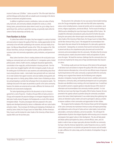income of Latinos was \$20 billion.<sup>7</sup> Latinos account for 15% of the state's labor force and their bilingual and bicultural skills are valuable assets increasingly in this diverse business environment and global economy.

In addition to significant economic contributions, Latino core values of family unity, hard work, and community solidarity strengthen the society as a whole. Among Latinos, personal decisions about where to work, live, go to college, how to spend leisure time, and how to spend their earnings, are generally made within the context of family relationships and family unity.

#### From Numbers to Action

As Latinos have settled in the region, they have engaged in a variety of activities and social actions to improve the quality of their lives, creating opportunities for their community to live well while contributing to the economic and social vitality of our region: the Mexican Mutual Benefit Societies of the 1930s, the eruption of the 1966 Division Street Riots, recent pro-immigration marches, and the establishment of numerous Latino-led community organizations, policy institutions, and government offices.

Many Latinos have been a force in creating solutions to the social justice issues holding our community back such as the ineffective U.S. immigration system, limited political power, violence, health concerns, inadequate educational opportunities, concentration in low-wage jobs, and discrimination in housing and work. Over the years, Latinos have struggled together with other immigrants, people of color, and the working poor of all ethnicities to raise awareness and understanding about these issues among decision-makers. Latino leaders have partnered with non-Latino leaders to create solutions that support economic and social stability among parents and other wage earners in a family, giving children a better chance of obtaining an education and participating in activities that will prepare them to be productive adults. The challenges discussed in this report are presented as specific to the Latino community; however, the solutions are universal and can make a difference for Americans of all ethnicities and socioeconomic backgrounds.

The Latino Agenda being put forth in this document is in fact *An American agenda from a Latino Perspective*. It builds on the past efforts of Latino activism in Chicago and incorporates the proactive dialogue on immigrant integration that has taken place locally among Chicagoans of all backgrounds as a result of the national immigration debate. The policy and program directions proposed in this Latino Agenda were developed primarily by Latinos in collaboration with non-Latino leaders and policy makers. They encompass the thinking and strategizing of individuals convened by Latinos United, the Chicago Council on Global Affairs, the New Americans Policy Council, and the Institute for Latino Studies of the University of Notre Dame in separate efforts over the last three years.

This document is the culmination of a two-year process that included meetings across the Chicago metropolitan region with more than 600 Latinos representing various sectors including business, mutual aid societies and civic associations, social services, religious organizations, and elected officials. The first round of meetings in 2006 focused on identifying the issues that impact the quality of life of Latinos. We compiled this information and produced a policy document for further discussion. During the same period, other relevant reports were released by the Institute for Latino Studies of the University of Notre Dame, the Chicago Council on Global Affairs, and the New American Policy Council. We integrated the recommendations from these reports that were relevant for the development of a Latino policy agenda into our document. Subsequently, we convened a final round of community meetings to present and discuss the comprehensive policy document and to receive final comments and recommendations from the community. We believe that this inclusive community process created a document rooted in needs and aspirations of Latinos across the region. We heard the enormous challenges that the community faces, but we were also inspired by the strong sense of hope and determination that characterize Latinos.

The meetings usually went over time because of the interest of the participants to talk about issues and solutions to improve the quality of life of the community. We collected extensive information but, in the end, the most efficient means of representing the broad interests of the Latino community as expressed within the community meetings was to organize these interests into the following seven categories: education, immigration, housing, health and social services, workforce and economic development, community safety, and leadership development and civic participation. Education was identified at every meeting as the most important issue. It would have been possible to present a separate agenda on education because of the volume of information and recommendations that community members provided. It is clear that there are more issues that impact the quality of life of Latinos; however, the ones presented in this agenda surfaced as priorities during the community consultation process that Latinos United implemented. It was evident during these gatherings that Latinos are interested in policy matters and want to participate in advocacy activities to improve conditions in their communities and opportunities for their children.

We recognize that the realization of the American Dream and the full integration of the Latino community into mainstream American society will require partnerships and collaborative work on the part of Latino and non-Latino leaders, local and state policymakers, community institutions, and service providers. This will require the implementation of policies that mitigate disparities while ensuring access to resources and programs that support Latinos in their development. This also will take greater and deeper political participation by Latinos as elected officials, voters, and civic leaders in order to have an impact upon policy decisions that affect our community. Our hope is that this American Agenda from a Latino Perspective serves as a tool for Latinos and our partners to set priorities and generate the resources and will needed to make a difference for Latinos today, and for all residents of metropolitan Chicago in the future.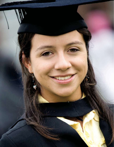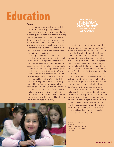# Education

#### **Context**

Education long has been recognized as an important tool for both bringing about economic prosperity and ensuring greater participation in democratic institutions. An educated populace is an empowered populace, yet education does not simply mean learning math, spelling and science. Education also includes knowledge about one's environment, culture, democracy, economics, justice, and sociopolitical realities. Latino students must have access to an educational system that not only prepares them to be economically productive members of society, but also empowers them to uphold the fundamental values and principles of democracy and prepares them for a lifetime of civic participation.

The bilingual and bicultural skills of Latino children are a great asset for the region's competitive potential within the international economy. Latino will be among our future teachers, engineers, nurses, laborers, and leaders. Their earnings will be important to sustain local businesses, the municipal and state tax base as well as federal entitlement programs, and the ongoing viability of pension plans. Their bilingual, bicultural skills will be critical to Chicago's workforce — locally, nationally, and internationally — and they must be adequately prepared by our school system to compete in the local and global labor market. Today, 90% of Latino children in the Chicago metro region were born in the  $U.S.^8$  Considering that these children are U.S. citizens, more than ever the hopes and aspirations of Latino families and youth are those of every American: a life of opportunity, prosperity and dignity. The future prosperity of the Latino community and the Chicago metropolitan region undoubtedly will be measured by the ability of educational institutions to successfully prepare Latino children with the skills and knowledge necessary for the challenges of the 21st century.



Yet Latino students face obstacles in obtaining culturally relevant early and primary education, and the patterns of underachievement rooted in the lack of early childhood education follow Latino students into and beyond high school. There is extensive evidence that the differences in achievement between Latinos and whites, whether measured by standardized tests or school grades, have their foundations in the infant/toddler and preschooler period.9 These patterns of Latino underachievement are signifiers of an educational system that has failed to serve its population. Regionally, only 53% of Latinos who enter high school graduate four years later.10 In addition, only 31% of Latino students who graduate from high school will complete college within six years.<sup>11</sup> In the city of Chicago, more than 6,000 Latino preschool children are on waiting lists, largely due to the lack of space in public schools' pre-K programs.12 We must give parents the appropriate tools to support learning at home and at school, to help them break these patterns, and contribute to the socioeconomic success of the region.

To construct a comprehensive educational strategy, we must analyze and address issues like the need for bicultural educators and school administrators to span the cultural gap between schools and Latino communities, the need to build new facilities while refurbishing existing ones, the importance of boosting high school graduation and college enrollment and retention rates, and the necessity of increasing parental involvement in the educational process. This analysis and strategy must take into account the economic, social, cultural, and language components of Latino communities and the schools that serve them.



8 American Community Survey 2006.

- 9 Miller, (2003).
- <sup>10</sup> Ready & Brown-Gort, (2005), p.3.
- 11 Doetsch, Muñana, & Silva, (2006), p.58.

<sup>12</sup> Latinos United, (2007), p.5.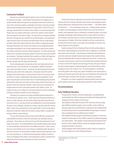#### Community Feedback

Education was overwhelmingly the greatest concern of Latino participants in our regional conversations. Latinos believe that education is the stepping stone to upward mobility; without this opportunity, participants believed, the economic horizons of the community would be considerably more limited. Community members expressed deep frustration about the failure of Chicago Public Schools (CPS) and, increasingly, suburban districts to educate Latino children, as measured by high school dropout rates, low academic performance, and the low number of Latino students who are prepared for and enroll in college. The major barriers to education identified during the meetings were lack of facilities for preschool programs, overcrowded and under resourced schools, and teachers and administrators that lack understanding and skills to effectively motivate and teach Latino students or engage their parents. Participants feared that some schools in the suburbs are increasingly following the same dysfunctional patterns such as high suspension rates among Latino students, low academic performance and lack of parent engagement. The value and hope that Latinos place in education and the poor academic outcomes for many Latino students are incongruent. Participants mentioned that to provide our children with opportunities, we must break the status quo in the educational system and create a Latino education initiative with clear goals and benchmarks.

Not only did participants cite education as their most important priority, but many other topics, such as health and civic participation, alluded to educational issues inside and outside of schools. In particular, the idea of properly teaching and celebrating Latino culture held a high priority. Participants stressed the need for bilingual and bicultural teachers in existing schools as well as the necessity to build and staff new schools in neighborhoods with growing Latino populations. Participants were particularly concerned about the lack of understanding among educators with regard to Latino youth and culture, and the resulting cultural schisms that occur between schools and community members. Parents were very concerned that not enough teachers from their communities worked in their children's schools. For students who do go on to college, the community stressed the need for scholarships, mentoring, and parent involvement in the overall process.

Participants at our regional conversations identified parental involvement as the cornerstone to academic success. Studies have shown that parent involvement is critical to a child's education, yet many Latino children have parents who did not attend school in the U.S. and may not have ever benefited from much formal education. This poses serious challenges as families try to balance education with other responsibilities. Parents who work long hours, do not speak English, or have low educational attainment to help their children with homework, leaving children to navigate their education without a parent advocate.

The issue of the retention of Latino culture and the difficulties associated with cultural differences between schools and communities was repeatedly voiced by participants. These schisms are at the root of many of the educational and civic challenges facing Latinos. The resulting differences and misunderstandings make learning an unnecessarily harsh and hostile process for children and parents. Latinos coming from low-income families do not see the relevance of traditional public education in which the curriculum is far removed from students' culture and daily experiences, and as a result many drop out. A culturally relevant educational strategy is needed as a means of reengaging Latino students, and ensuring future academic achievement for individuals and socioeconomic development for Latino communities.

Schools and community organizations must partner with research and teachertraining universities to develop culturally relevant teacher training programs geared towards addressing the educational needs of Latino children — and indeed children of all ethnicities — in the metropolitan Chicago area. Culturally relevant education is a highly successful pedagogical method that takes into account the ethnicity of students, their backgrounds, history, environment, sociopolitical realities, and cultural knowledge and language, while training teachers to conduct reflective research in their classrooms and communities as a means of constantly improving the educational experience of students. We all learn culturally; we all learn contextually; we all need to feel at home to learn; we all acquire new knowledge on the basis of our learned experiences and motivations.

Teachers receiving this form of training will have the skills and knowledge to teach diverse student populations and will know how to collaborate on a level field with parents and communities. A learning process intertwined with and based on community works and culturally relevant research projects helps students develop human and leadership skills necessary for professional and civic life. Increased communication among educators, parents and communities fosters parental involvement at school as it lessens the linguistic and cultural gap. The long-term gains of educating Latino students properly, including bilingualism and cultural sensitivity, will far outweigh any short-term economic costs. The Latino population is contributing most of the growth in the Chicago area; Latinos' contribution to the economy both as workers and consumers grows by the day; they are an integral part of the present and future of the region. Investing in their education is investing in its prosperity.

Participants in our forums suggested the following priorities aimed at improving the academic achievement and educational attainment of Latino children.

#### Recommendations

#### Early Childhood Education

- The government, churches, community organizations, and philanthropists, should redouble their efforts to help parents facilitate the healthy growth and development of their children in the first years.<sup>13</sup>
- State legislators should make Preschool For All, Head Start and other quality early childhood education programs more accessible to Latino children by allocating capital funds to build facilities in underserved Latino neighborhoods and by allocating resources to provide affordable full day programs to parents who are employed with non-traditional work schedules.<sup>14</sup>
- Early childhood education programs should develop strategies to increase participation of Latino parents in their children's education by addressing language and cultural barriers. These programs should understand and implement best practices to teach children of diverse cultural and language background and engage their families in the process.
- Spanish language media should undertake a public awareness campaign on the critical importance of early childhood education.

<sup>13</sup> Ready & Brown-Gort, (2005), p.46.

 $14$  Ibid. p. 46.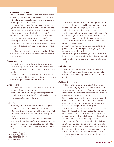#### Elementary and High School

- City and suburban schools need to review and improve, or replace, bilingual education programs to ensure that students achieve fluency in reading and writing in English, and expand dual language programs that develop second language capability for all students K-12.15
- The Illinois State Board of Education (ISBE) and CPS need to increase the capacity of elementary schools in collaboration with the families and communities they serve to accelerate Latino children's learning and achievement, especially for English language learners and those from low income families.16
- CPS and suburban school districts should partner with businesses, private foundations, and community-based organizations to expand after-school enrichment programs. Foundations, ISBE and local school districts should provide funding for the community school model that keeps schools open in to the evening with educational programs and activities for community members of all ages.
- School districts should partner with Latino community-based organizations to develop Latino educational initiatives to increase performance and higher academic outcomes.

#### Parental Involvement

- Educational institutions need to conduct appropriate and vigorous outreach activities to ensure parent and community participation in leadership roles within city and suburban schools to improve educational outcomes for Latino students.<sup>17</sup>
- Hometown Associations, Spanish language media, and Latino-owned businesses should educate and facilitate the active participation of Latino parents in schools, including direct involvement in local school boards.

#### Capital Funding

- Policymakers should increase resources necessary to build preschool facilities, placing priority in underserved neighborhoods.
- Legislators need to establish progressive options for funding education in the State of Illinois that address the problems of overcrowding and lack of resources in many schools located in Latino neighborhoods.

#### College Access

- Latino leaders, foundations, businesspeople and educators should partner to expand programs, from middle school to high school, that support and motivate Latino students to finish high school, while preparing them to enroll in college by providing assistance in the financial aid and college application processes.
- Public and private colleges and universities in Illinois need to increase the recruitment, enrollment and retention of Latino students in colleges and other post-secondary programs. Latino organizations, businesses and foundations should fund and promote scholarships that include tuition, travel and incidentals.18
- Businesses, private foundations, and community-based organizations should increase efforts to leverage resources available for undocumented students, in the form of internships and scholarships to pursue higher education.
- Schools should have an articulated plan of action to mentor and support Latino students to graduate from high school and pursue higher education. As part of this effort, high school counselors should coordinate with university and college representatives to more widely disseminate information among Latino parents about the importance of college education and support them throughout the application process.
- ISBE and CPS must reach out to alternative schools and schools that cater to special education students so that they too are encouraged to graduate from high school and pursue higher education.
- Community-based organizations, high schools, and research institutions should develop partnerships to provide high school students with meaningful research opportunities to foster analytical and critical thinking skills needed to succeed in college.

#### Adult Education

Community colleges and community-based organizations should provide GED and English as a Second Language classes in Latino neighborhoods that are convenient and accessible to working families. Community schools may also serve this purpose.

#### Workforce Development

- School districts can partner with regional universities to develop culturally relevant, bilingual training programs for future teachers and develop continuing education programs for existing teachers. Continuing education programs can focus on strategies to make education more relevant to Latino students as a means of increasing academic success and retention.
- University education and curriculum development programs can partner with social science and linguistics departments to research, refine and implement comprehensive teacher and administrative training programs in culturally relevant educational strategies and curriculum development.
- In partnership with educational institutions, ISBE needs to develop programs that streamline the accreditation of foreign-educated professionals, then transition them into culturally relevant continuing education programs. This will increase the pool of highly qualified bilingual teachers and personnel with expertise in working with Latinos and English language learners.
- The state should allocate funds to create cohorts and provide scholarships to expand the pool of trained and qualified bilingual/bicultural teachers and administrators for early childhood education, elementary, and high school. Within this, it is necessary that foundations, businesses and schools create a Latino Future Educators Fund<sup>19</sup> to encourage Latinos to become bilingual/bicultural teachers and principals through targeted scholarships and other financial and academic support.

<sup>15</sup> Doetsch, Muñana & Silva, (2006), p. 55.

<sup>16</sup> Ready, & Brown-Gort, (2005), p. 46.

<sup>17</sup> Doetsch, Muñana & Silva, (2006), p. 64.

<sup>18</sup> Doetsch, Muñana & Silva, (2006), p. 65.

<sup>19</sup> Doetsch, Muñana & Silva, (2006), p.57.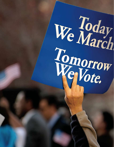We Narch Tomorrow<br>We Vote.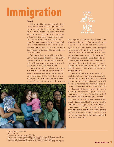# Immigration

#### **Context**

The immigration debate has defined Latinos in the minds of the U.S. public, and the controversies swirling around it have become the single biggest obstacle to discuss a broader Latino policy agenda. Despite the demographic data indicating that more than 70% of Latinos are U.S. citizens and that 90% 20 of Latino children are U.S. citizens by birth, the general perception in society is that most Latinos are immigrants and most immigrants are undocumented. These perceptions have implications in the national policy debate. An anti-Latino sentiment is growing in our society fueled by the way the media portrays our community and by some politicians who scapegoat immigrants for political gain, using them as a wedge issue to gain votes.

On the policy level, the immigration debate is divided on two levels: federal policy on border control, which establishes how many people enter the country and for long; and state and local policies, which helps immigrants integrate and become part of the social and economic fabric of their new communities.

Unauthorized immigration is a problem for Latinos as well as for the rest of the country, and Latinos also want to see this issue resolved. A new generation of immigration policies is needed to support family unity, meet the labor needs of the U.S. economy, and strengthen national security. A comprehensive approach is necessary to fix our broken immigration system. The current system



**reports indicate that HATE CRIME against Latinos have INCRE and that nativism is on the rise**

labor market needs are to be met. The immigration policies enacted in 1986 and 1996 closed most channels to enter or stay in the U.S. legally. As a result, 3.1 million U.S. children could lose their parents due to deportations.21 On top of this, hundreds of would-be immigrants die every year crossing the border $^{22}$  and about 12 million immigrants live and work in the country without authorization.<sup>23</sup> The failed attempts in Congress to find a negotiated solution to fix the immigration system have prompted local governments to propose and pass harsh anti-immigrant ordinances that make it illegal to rent or do business with immigrants. In addition, reports indicate that hate crimes against Latinos have increased and that nativism is on the rise.<sup>24</sup>

forces many immigrant workers and employers to break the law if<br>alobar market needs are to be met. The immigration policies emacted<br>in 1986 and 1996 closed most channels to emer or stay in the U.S.<br>Tegally. As a result, 3. New immigration policies must consider the impact of globalization and U.S. foreign and domestic economic policies on migration patterns. U.S. free trade agreements with Latin America have unintentionally contributed to an increase of migration. While free trade agreements have been beneficial for some economic sectors, they have been devastating for others. Millions of small farmers in Mexico lost their livelihood as a result of the North American Free Trade Agreement (NAFTA); for example, small farmers could not compete with the cheap prices of subsidized corn from the U.S. that entered the Mexican market, and roughly 1.4 million small farmers went out of business during the four years after NAFTA was enacted.25 Many likely crossed the U.S. border to find a job to feed their families. The availability of jobs in the U.S. and the willingness of employers to hire Mexican and other Latino immigrants provide strong incentives to cross the border without authorization. Immigration policies must reconcile the dichotomy in U.S. policies that promote an open border for investment, goods, products and services, but closes it for workers.

<sup>20</sup> American Community Survey 2006.

- 21 Passel, (2006), p. 8.
- 22 http://www.freenewmexican.com/news/49231.html

- <sup>24</sup> Southern Poverty Law Center. http://www.splcenter.org/intel/intelreport/intrep.jsp?iid=44
- **14 Latino Policy Forum Latino Policy Forum 14** 25 http://www.carnegieendowment.org/publications/index.cfm?fa=view&id=20009&prog=zgp&proj=zusr

<sup>&</sup>lt;sup>23</sup> http://www.carnegieendowment.org/publications/index.cfm?fa=view&id=20009&prog=zgp&proj=zusr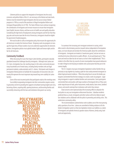Coherent policies to support the integration of immigrants into the social, economic and political fabric of the U.S. are necessary at the federal and state levels. Fairness must be restored for legal immigrants who lost access to basic federal programs in 1996 as a result of the provisions in Illegal Immigration Reform and Immigrant Responsibility Act of 1996. The State of Illinois must continue recognizing the contributions of immigrants and increase resources to ensure that immigrants learn English, become citizens, and have access to health care and quality education. Considering the high levels of employment among immigrants and the fact that they pay sales and income taxes like the rest of Americans, immigrants should be eligible for government-funded programs.

We must be able to craft an immigration policy that ensures the opportunity for all Americans to realize the American Dream. Temporary work visa programs to manage the legal entry of future workers must not undermine opportunities for domestic workers. Immigration policies must uphold workers' rights and human rights and be fair for all Americans.

#### Community Feedback

When discussing the issues that impact Latino families, participants naturally gravitated toward the challenges faced by immigrants. Although most Latinos are U.S.-born, immigration has a far-reaching impact in the Latino community because many households are of mixed status, including family members who are legal permanent residents, undocumented, and U.S. citizens. Participants said changes in immigration federal policies to facilitate the incorporation of newcomers into community life represent the most important step toward long-term stability for Latino families.

Some of the most recurrent points that participants made at the meetings were: Successfully incorporating immigrants into their communities requires society to genuinely commit to providing the supports to facilitate learning English and civics, becoming citizens, acquiring skills, opening businesses, and becoming familiar and successfully interacting with the laws and institutions that govern our society.



#### **3.1 million U.S. children could lose their parents due to deportations**

To counteract the increasing anti-immigrant sentiment in society, which often results in discriminatory practices toward Latinos independent of immigration status, we must educate and sensitize the American public about the contributions of immigrants. Immigrants are treated as "unwelcome guests," and are not seen as constituents by law enforcement or public officials. As one participant put it, "They want and need our labor but do not want us to live in their neighborhoods." This is evident in the effort that city councils of some municipalities have passed ordinances to make it illegal to rent housing to residents who cannot prove that they are in the country legally.

The U.S. Congress must pass immigration legislation to allow families the opportunity to stay together by creating a path for most undocumented immigrants to obtain legal permanent residence. When discussing how to secure the border, participants commented that the best strategy is to create a work visa program. Legalizing immigrants is urgent to stabilize families and communities. Some participants commented that communities with large numbers of immigrants feel as if they were under siege because of raids, police harassment, media attacks, hate crimes, landlord abuses, and overall contempt from institutions with which they interact.

Great concerns were expressed about the increasing efforts to deputize the local police to carry out immigration enforcement functions. Suburban residents predicted that as a result, immigrants and other Latinos will be less likely to report law violations and to collaborate with the police in preventing and solving crime. This undermines community safety.

 The recommendations outlined below seek to address one of the most pressing policy questions of our time. Latinos are committed to finding solutions to fix the broken immigration system so that new legislation restores our tradition as a nation of immigrants and upholds America's greatest values of fairness, family unity, hard work and opportunity.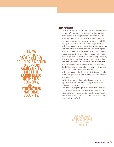### **A new GENERATION OF immigration polic to support family unity, meet the LABOR NE of the U.S. ECO and strengthen NATIONA security.**

#### Recommendations

- Businesses, community organizations, and religious institutions should take the lead in urging Congress to pass a new generation of immigration legislation that will repair the broken immigration system. These policies must allow current undocumented immigrants to access opportunities to obtain legal permanent residency, establish a work visa program to meet the needs of the economy, and shorten the waiting period to receive family immigration visas.
- Local governments and institutions need to provide information to immigrants about how local institutions work and the rules and regulations that govern community life in areas such as housing, health, and education to successfully integrate newcomers into their communities. Partnerships should be established among institutions in the suburbs to establishing Immigrant Welcoming Centers to support the integration of immigrants to their new communities.
- The media should counteract negative stereotypes about Latinos that affect community relations by promoting accurate portrayals, and communities should hold intercultural events that reflect the contributions of Latinos to the economic, social, and cultural development of the region.
- Local governments and health and social services institutions should establish language access policies that require municipal, social, and health services to be provided in Spanish.
- Municipalities should oppose deputizing their local police to carry out immigration enforcement functions in order to strengthen community-police relations and ensure community safety.
- Community colleges, nonprofit organizations and other stakeholders should expand opportunities for immigrants to learn English by providing classes at times and locations that are convenient and accessible. Employer-based programs and incentives also can make it easier for Latinos to take advantage of opportunities to learn English.

**Ninety percent of Latino children in the Chicago region are U.S. citizens by birth**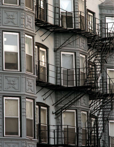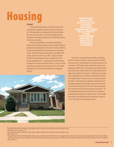# **Housing**

#### **Context**

Homeownership often fosters a sense of permanency that can promote the integration of Latinos into their local communities. Homeownership is an integral part of the American Dream, and Latinos share that dream. They are increasingly becoming homebuyers, contributing strongly to the economy while investing in their new communities.

But, housing affordability, overcrowding, and predatory lending remain underlying problems for Latino families, despite the growing homeownership rates in the Latino community; more than half of Latino households in the Chicago region own their homes. In 2003, homeownership rates among Latinos were higher in the suburbs, at 64%, than in the city, at 44%.<sup>26</sup> Latinos accounted for 50%of the overall growth in owner-occupied homes in the Chicago metropolitan area. $^{27}$  Interestingly, home ownership rates for foreign-born Latinos are nearly the same as U.S.-born. Yet while Latino homeownership rates are increasing, they are still considerably below the 79% rate for white households in metropolitan Chicago.<sup>28</sup>



#### **wages are not KEEPING P with the high cost of housing, and a single MINIMUM-WAGE EARNER will be unable to afford a two-bedroom apartment at today's rents anywherein thecountry**

For the Latino community, homeownership is the primary<br>
efor wealth accumulation. Consequently the lack of afford-<br>
unity. A 2007 national report indicates that wages are not<br>
unity. A 2007 national report indicates that w vehicle for wealth accumulation. Consequently the lack of affordable housing in the city and suburbs has a significant impact on the community. A 2007 national report indicates that wages are not keeping pace with the high cost of housing, and a single minimumwage earner will be unable to afford a two-bedroom apartment at today's rents anywhere in the country.<sup>29</sup> Gentrification in Chicago's Latino neighborhoods such as Pilsen and east Humboldt Park has forced large numbers of Latinos to move, and many have exited to the suburbs. Unfortunately, most suburban communities are not adequately prepared for large numbers of new arrivals, and while new homes are being built, the scale of new housing construction does not meet the needs of the growing Latino community.<sup>30</sup> The lack of affordable and available housing has led to a situation of considerable overcrowding in the region; between 1990 and 2000, the number of overcrowded housing units leapt by an average of 133%, 75% of which were occupied by Latinos.<sup>31</sup>

28 University of Notre Dame, Institute for Latino Studies, analysis of 2000 Census and 2006 American Community Survey.

<sup>&</sup>lt;sup>26</sup> University of Notre Dame, Institute for Latino Studies, analysis of 2000 Census and 2006 American Community Survey.

<sup>27</sup> Ready & Brown-Gort, (2005), p. 37.

 $29$  Roth, (2007), p.14.

<sup>30</sup> Chicago Metropolis 2020 and the Metropolitan Mayors Caucus released a report entitled Homes for a Changing Region which states the region needs approximately 185,000 new single-family, small-lot units, townhouses and apartments, yet current developer projections show that only about 24,000 such units are planned and that "excessive numbers of large-lot homes" are planned. 31 Roth, (2007), p.4.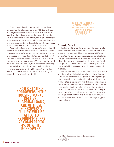Cultural factors also play a role in bringing about the overcrowded living conditions for many Latino families and communities. While strong family values are generally considered positive in American society, the desire and sometimes economic necessity of Latinos to live with extended family members is out of sync with the traditional American nuclear family lifestyle that is supported by the type of housing available in most communities. This lack of understanding and appreciation for the Latino focus on extended family households has contributed to a mismatch in housing for Latino families and potentially discriminatory housing practices.

An additional issue facing Latinos is the prevalence of predatory lending and the impact of the current subprime mortgage crisis on Latino communities. According to the National Association of Hispanic Real Estate Professionals (NAHREP), Latinos are suffering a disproportionate burden in default and foreclosure rates throughout the United States.<sup>32</sup> NAHREP estimates that foreclosures on Latino-owned homes throughout the nation may reach an aggregate of \$24 billion this year. The New York Times reported that as of the end of 2006, 40% of Latino borrowers in the housing market received subprime loans, and of these borrowers a full 8% will be affected by foreclosures as compared to only 4% of white borrowers.<sup>33</sup> The personal and economic costs of the crisis will be high as families lose homes and savings and consequently their primary or sole source of wealth.

> **40% of Latino BORROWERS IN TH housing market received SUBPRIME LOANS,<br>AND OF THESE borrowers a full 8% will be affected BY FORECLOSURE AS COMPARED 4% OF WH borrowers.**

#### **Latinos aresuffering a disproportionate burden in default and foreclosure rates throughout the United States**

#### Community Feedback

Housing affordability was a major concern expressed during our community meetings. Participants communicated the need for government interventions such as ensuring set-asides in new affordable developments, increasing HUD outreach and promotion to the Latino community, and creating tax exemptions for affordable housing for low- to moderate-income homebuyers. Participants noted that stigmas exist regarding affordable housing and called for public education about affordable housing as a means of breaking down stereotypes. Furthermore, participants noted the need for affordable housing closer to jobs to reduce transportation costs and the need for cars.

Participants mentioned that housing overcrowding is connected to affordability and Latino cultural traits. The inability to pay the high cost of housing forces many to double up, and their sense of responsibility toward extended family encourages many to open their homes to those in financial crisis who would otherwise become homeless. Participants discussed current trends of selective code enforcement by local municipalities who are updating their occupancy standards to reduce the number of family members allowed to live in a household–actions that seem to target Latinos. In the report *Bajo el Mismo Techo*, one code inspector interviewed explained that only about half of all overcrowding complaints are valid.<sup>34</sup> In consideration of this, participants indicated that more efforts are needed to educate communities about housing ordinances and their effects on the extended family housing patterns preferred by Latinos.

<sup>32</sup> Hipanic National Mortgage Association, www.hnma.com/news.html 33 Nixon, (2006).

<sup>34</sup> Roth, (2007), p.19.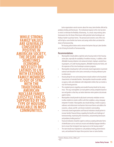**Whilestrong family value are generally CONSIDERE POSITIVE IN American society, the desire and SOMETIME economic necessity of Latinos to live WITH EXTEND family members is out ofsync WITH TH traditional American nuclear family LIFESTYLE THAT IS supported by the type of housing availablein most communities.**

Latino organizations voiced concerns about the many Latino families affected by predatory lending and foreclosures. The institutional response to the crisis has been to restrict or eliminate the flexibility of borrowing. As a result, many existing Latino homeowners face the threat of foreclosure while potential Latino homebuyers are finding it harder to purchase homes. The personal and economic costs of the crisis will be high as some families lose homes and savings while others are denied the dream of homeownership.

The housing policies below seek to remove the barriers that put Latino families at risk of losing the benefits of homeownership.

#### Recommendations

- Municipalities should address explicitly Latino housing needs in their housing action plan, especially the availability of workforce housing. In addition, other affordable housing initiatives to be advanced include: employer-assisted housing programs, set-aside housing programs, affordable housing trust funds, and the expansion of first-time homebuyer assistance programs.
- Municipalities should partner with community-based organizations to promote outreach and education to the Latino community on housing ordinances prior to enforcement.
- Housing design for new and existing homes should conform to the household characteristics of extended families. Municipalities should reconsider carefully occupancy codes and collaborate with independent entities that can monitor a city's fair housing practices.
- The complaint process regarding overcrowded housing should not be anonymous. This way, municipalities can track patterns among complaints based on race and gender so that they can better determine when patterns discriminate against Latinos.
- Municipalities should provide locally based community mediation services to allow residents to resolve conflicts with their neighbors, using a language interpreter if needed. Municipalities also should develop a model occupancy ordinance and enforcement mechanisms that ensure fairness and address the economic, cultural, and life-cycle factors involved in overcrowding.
- Community-based organizations and financial institutions should partner to increase families' financial literacy regarding the benefits and challenges of homeownership, maximizing their investments, and preventing foreclosures and predatory lending practices.<sup>35</sup>
- Financial institutions should be urged to continue accepting alternative forms of identification such as *matricula consular* and individual taxpayer identification to ensure that immigrants have equal access to the housing market.<sup>36</sup>
- The state should enact legislation to curb predatory lending, prevent foreclosures, and ameliorate the impact these practices have on Latino families.

<sup>35</sup> Doetsch, Muñana, & Silva, (2006), p.47.

 $36$  Ibid.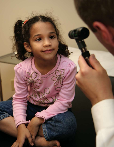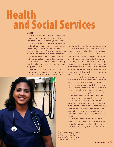# Health and Social Services

#### **Context**

Latinos, and immigrants in particular, are a generally healthy population despite being the racial/ethnic group least likely to have health insurance in the U.S. This paradox may be partly explained by the youthful demographics of the population, but there are also protective cultural and behavioral factors such as healthier diets and more active lifestyles brought from their native countries that contribute to good health outcomes. Over time, these protective factors are diminished as immigrants adopt more mainstream American lifestyle habits and U.S.-born children and grandchildren of immigrants do not continue the positive health behaviors and values. If this pattern persists, the health status of Latinos is expected to drop, especially as the Latino population ages and a greater proportion of the population is U.S. born.

Many health issues of concern to the Latino community — and numerous health disparities — have been identified by national studies. The U.S. Health Resources and Services Adminis-



have higher incidence of chronic diseases, higher mortality, and poorer health outcomes.37 In Illinois, Latinos are far more likely than others to indicate that they consider their health to be only fair or poor.38 Latinos are concentrated in low-wage job industries that are less likely to provide health insurance. Despite high rates of employment, Latinos have the lowest rates of insurance coverage in the country. Moreover, Latinos, whether insured or uninsured, have been found most likely to be disconnected from the health system and without a medical home.<sup>39</sup> Disparities in accessing affordable, culturally competent health care result in a lack of preventative and acute care and poorer health outcomes.

**16**tration has found that compared to whites, minority communities<br>have higher incidence of chancic diseases, higher moratality, and<br>poorer health outcomes <sup>36</sup> in Illinois, Latinos are far more likely than<br>others to indi Socioeconomic and environmental factors such as occupations, economics, education, environment, migration patterns and immigration status, culture, and language all contribute to health disparities. Poverty in particular, plays a critical role. The Centers for Disease Control and Prevention states on its website that Latino children are more likely than non-Latino white children to live in poverty and "experience a disproportionate burden of infant mortality, low-birth weight, asthma, endocrine, neurological, and behavioral disorders which may be associated with exposure to hazardous substances." 40 Low-income Latino adults are the least likely among all adults to have health insurance, whether private or public, leaving this population vulnerable to missed work time, undiagnosed medical conditions, and unhealthy living.41 Clearly, improving the socioeconomic status of Latinos through employment and education will be key to improving the health status of Latino families.

Latinos face significant barriers to obtaining health care coverage either through their employers, public programs or the purchase of private insurance. According to a 2005 study by the Commonwealth Fund, working age adult Latinos were the least

- 39 Doty & Holmgren, (2005), p.2 .
- <sup>40</sup> CDC website, Office of Minority Health.

<sup>37</sup> Doetsch, Muñana, & Silva, (2006), p.84.

<sup>38</sup> Ready & Brown-Gort, (2005), p.31.

<sup>41</sup> Doty & Holmgren, (2005), p.2.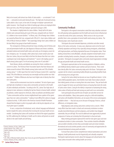likely to be insured, with almost two-thirds of Latino adults — an estimated 15 million — uninsured at some point during the year. This high rate of uninsured among Latino adults is due, in part, to low rates of coverage in employer-sponsored and public insurance. Even though two-thirds of working age Latinos are employed either full or part time, only 34% had employer-sponsored coverage in 2005.

The situation is slightly better for Latino children. Nearly half of all Latino children were uninsured during all or part of the year, compared with one-third of U.S. children in low-income families.<sup>42</sup> In Illinois, only 12% of foreign-born children are covered by Illinois Kid-Care, compared with 29% of U.S.-born Latino children and 45% of African American children.<sup>43</sup> Not surprisingly, foreign-born Latino children are the least likely of any group to have health insurance.

The consequences of being uninsured are many, including a lack of timely acute care and preventative health care, late diagnosis of disease and chronic conditions, untreated medical and mental health needs, and costly use of emergency rooms for non-emergency care. For example, while Latinos have a lower overall cancer rate than non-Latinos, they are more likely to die from the disease than their non-Latino counterparts due to late diagnosis and treatment.<sup>44</sup> Cancer is the leading cause of death among Latinas aged 25 to 64 and among Latino men 45 and older.<sup>45</sup>

Heart disease, obesity, and diabetes are among the chronic conditions of concern to Latinos. The American Heart Association reports that heart disease and stroke account for almost 30% of deaths among Latino males and 35% of deaths among Latinas.<sup>46</sup> A 2002 report from the Center for Disease Control (CDC) stated that nearly 75% of the Mexican community was overweight and that another one-third was obese.<sup>47</sup> Children of Mexicans also have much higher rates of obesity than their non-Latino peers.

Culture and the environment must also be considered. The lack of green space and high rates of pollution in many Latino communities are barriers to the health of Latino individuals and families. According to the CDC, Latinos "face high rates of exposure to toxic substances, including the top four threats to human health: ambient air pollution, worker exposure to chemicals, indoor air pollution and drinking water." 48 Latino communities and low-income neighborhoods have a pattern of less green space than non-Latino communities,<sup>49</sup> making it more difficult for Latinos to engage in physical activity. A 2005 article in the American Journal of Health Promotion showed that the degree to which city people walk or ride bicycles depends on h ow much green space is available.

In sum, a conjunction of institutional, social, cultural, language and behavioral barriers impede the Latino community from receiving the necessary health services needed. Considering that Latinos will constitute one third of the region's population by 2030, addressing the challenges in health care for Latinos will prevent an overall decline in the state's health and well being.

#### Community Feedback

Participants in the regional conversations noted that many suburban communities with growing Latino populations lack the health and social services infrastructure to meet the needs of the Latino community. While services in the city are more plentiful, there is also a perception of unmet health needs among city Latinos. The following topics were of particular concern:

 Participants discussed untreated depression, alcoholism and other mental illness in the Latino community. In many cases, depression seems to be the result of family separations and living in fear, especially among immigrants, unfamiliarity with legal procedures, and feeling stigmatized because of immigration status. Those battling mental illness need affordable, culturally competent mental health service providers including family counselors, therapists, and substance abuse treatment specialists. Participants encouraged Latino community-based organizations to bridge the gap and provide health and mental health services.

Participants expressed alarm at the increasing epidemic of diabetes, asthma, and childhood obesity related to poor nutrition and lack of exercise. These conditions directly affect the Latino community today and in the future. Participants saw a greater role for schools in promoting healthy lifestyles by providing healthier foods and increasing recess and gym time.

Caring for the Latino elderly has become an issue of significant interest. As the Latino elderly population grows, more families must make choices about caring for their elderly parents at home or moving them into senior homes. They are faced with a lack of support for home care and limited choices on housing that meets the needs of Latino senior citizens. Caring for the elderly is important to maintaining the strong Latino values of family and hard work among our youth and in our communities.

Some participants discussed the lack of respite care and other services for Latinos with disabilities. Many Latino parents caring for a child with disabilities, and Latinos with disabilities themselves, are not aware of the services and programs available to them — they lack easy access because of language, finances, cultural differences, or immigration status.

High pregnancy rates among Latina teens continue to be a concern. While many efforts have been made in schools and community institutions to reduce sexually transmitted diseases and teen pregnancy, and numbers have dropped nationwide, they are still high. This must be addressed more aggressively to prevent pregnancies if Latinas are to develop their full potential in school and work.

Many meeting participants expressed the need for more green space and more recreational activities in Latino communities. These activities should be affordable and accessible to families at times that accommodate work and school schedules. Recreational and social activities provide a sense of community and opportunities for personal development among youth and adults.

To ensure that Latinos receive comprehensive medical examinations and correct diagnosis, health professionals must be linguistically and culturally competent. Participants expressed great concerns about the language and cultural barriers that many Latinos encounter when seeking health care services.

<sup>42</sup> Doetsch, Muñana, & Silva, (2006), p.86.

<sup>43</sup> Ready & Brown-Gort, (2005), p.30.

<sup>44</sup> Doetsch, Muñana, & Silva, (2006), p.89.

<sup>45</sup> Ibid. p. 89.

<sup>46</sup> Ibid. p. 89. 47 Ibid. p. 90.

<sup>48</sup> CDC, Office of Minority Health website; http://www.cdc.gov/omh/Populations/HL/HHP/ATSDR.htm 49 Doetsch, Muñana, & Silva, (2006). p.89.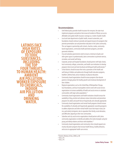**Latinosface high rates OF EXPOSURE TO TOXI substances, including the top four threats to human health: ambient air pollution, worker exposure to chemicals, indoor air pollution and drinking water.**

#### Recommendations

- Until federal policy provides health insurance for everyone, the state must implement programs and policies that ensure all residents of Illinois can access affordable and quality health insurance coverage as a matter of public health.
- Local and state departments of public health, research universities, and foundations should continue to provide and expand resources for programs that promote preventative care and prevention education in the Latino community. This can happen in partnership with schools, churches, media, communitybased organizations, community health promotion programs, and other grassroots initiatives.
- City and suburban governments need to ensure a minimum of parks and other green spaces in predominantly Latino communities to promote exercise, recreation, and overall well being.
- Corporate, private and hospital foundations should partner with high schools, local community colleges, universities, and health care institutions to develop programs that recruit and train bicultural and bilingual health professionals.<sup>50</sup>
- School districts should increase their role as promoters of the health and well being of children and adolescents through health education programs, healthier cafeteria food, and an emphasis on physical education.
- Community-based organizations should increase programs that educate parents in bringing about the healthy growth and emotional development of their children.
- Regional organizations such as the United Way of Metropolitan Chicago, local foundations, and local municipalities need to work with social services organizations to increase availability of health and social services in suburban communities with large Latino populations.<sup>51</sup>
- Community-based organizations and health institutions should increase the availability of drug, alcohol and substance abuse intervention and prevention programs for adults and youth that are linguistically and culturally appropriate.
- Community-based organizations and mental heath programs should increase the availability of culturally and linguistically appropriate counseling programs to address depression and other mental health issues that impact many Latinos, particularly immigrants, due to separation from family, social alienation, and difficulties adjusting to their new communities.
- Suburban and city social service organizations should partner with Latino community organizations to identify and address the needs of people caring for young and elderly relatives and those with disabilities.<sup>52</sup>
- Community-based organizations and community clinics should expand community education programs that increase health literacy, healthy behaviors, and access to appropriate health care services.

<sup>50</sup> Doetsch, Muñana, & Silva, (2006), p. 88.

<sup>51</sup> Ibid. p. 94.

<sup>52</sup> Ibid. p. 94.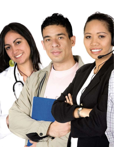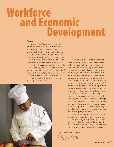# Workforce<br>and Economic Development

#### **Context**

Latinos form a major force within the economy of Illinois and indeed the entire country. Nearly 10% of the region's total household income<sup>53</sup> and nearly 15% of the state's labor force was attributable to the Latino community in 2004.<sup>54</sup> However, while Latinos have very low levels of unemployment and Latino immigrants are more likely to have three or more workers per family household,55 the low wages that characterize the Latino workforce experience — often well below established minimum wages — make it difficult to make ends meet. Without a concerted effort to increase the earning potential of Latinos, especially immigrants, Latinos will continue to be at the bottom of the economic ladder. To bring this about, Latinos must broaden the industries in which they work and gain a greater opportunity for upward mobility within these industries. Formal education, new job skills, and stronger English language skills are needed.



With the shift in the U.S. economy from manufacturing to<br>gh-lech and service sectors, a more skilled and educated<br>orce will be required to maintain a competitive edge in<br>terminonal market. Areas of job growth for the Chica the high-tech and service sectors, a more skilled and educated workforce will be required to maintain a competitive edge in the international market. Areas of job growth for the Chicago metropolitan region include health care, education, trucking and transportation, and skilled manufacturing. Bilingual and bicultural abilities are an advantage in these types of industries, and they can be target industries for Latinos.<sup>56</sup> Despite the shift away from manufacturing, this industry remains strong in the Chicago region and presents a unique job growth opportunity for Latinos. A 2005 report by Deloitte Consulting found that "the vast majority of American manufacturers are experiencing a serious shortage of qualified employees, which in turn is causing a significant impact to business and to the ability of the United States to compete in a global economy."<sup>57</sup> The shortages are not merely in low-skilled jobs but, increasingly, within specialized occupations such as engineering and science. Latinos can play an important role in ensuring a competent and creative workforce is available to fill in these gaps. Therefore, we must develop policies that close the educational and skill gap so that Latino workers can advance from low-wage occupations to more advanced, upwardly mobile careers.

Latinos contribute toward the socioeconomic development and vitality of commercial centers in many neighborhoods and municipalities by stimulating business growth through entrepreneurship and the creation of new markets in food, restaurants, clothing and household commodities. For example, in Illinois approximately "40,000 Latino-owned businesses — many of which are owned

<sup>53</sup> Doetsch, Muñana, & Silva, (2006), p.10.

<sup>&</sup>lt;sup>54</sup> Ibid. p. 25.

<sup>55</sup> Ready & Brown-Gort, (2005), p.25.

<sup>56</sup> Doetsch, Muñana, & Silva, (2006), p.35.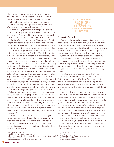by Latino entrepreneurs, heavily staffed by immigrant workers, and patronized by immigrant customers — generated more than \$7.5 billion in 2002 revenues."<sup>58</sup> Moreover, companies will face serious challenges in replacing a retiring workforce, making the viability of our regional economy increasingly dependent upon a skilled Latino workforce. Nationally, Latino employment has grown more than 16% since 2000 while overall U.S. employment barely has grown by 2%.<sup>59</sup>

The tremendous buying power of Latinos is shaping retail and commercial markets across the country and drawing increased attention to the economic force of Latino communities. According to a 2006 Selig Center for Economic Growth report, nationally Latino purchasing power was \$798 billion in 2006 and expected to reach over \$1.2 trillion by 2011, representing more than 450% growth from 1990 to 2011. During that same period, growth of all consumer purchasing power is expected to have been 190%. The rapid growth in Latino buying power is attributed to immigration, a high birth rate, and the large number of young Latinos entering the workforce for the first time or advancing in their careers. The Selig Center ranks Illinois with the 5th highest Latino buying power at \$34.8 billion in 2006.<sup>60</sup> In the metropolitan Chicago region, Latinos have a combined household income of more than \$20 billion.

Professional Latinos, U.S.-born and immigrant, have valuable skills that can give the region a competitive edge in the global economy, especially with regard to trade and collaboration with Spanish-speaking nations. Considering that Spanish-speaking countries make up a \$2.4 trillion market, Latinos' bilingual and bicultural capabilities present valuable opportunities for business and cultural exchange.61 The accreditation of immigrants with specialized education and skills must be streamlined in order to take advantage of the growing pool of skilled workers and professionals who have emigrated to the region and can fill labor gaps. The Bureau of Labor Statistics, for example, estimates that by 2012, the U.S. could be short at least 1 million nurses, and currently Illinois has a nursing shortage of 7% (vacancies v. jobs filled).<sup>62</sup> Immigrant nurses, teachers, accountants and other professionals come with a multitude of skills and expertise that should be used more fully for the benefit of the regional economy.

Latino males are employed primarily within occupations such as manufacturing, food service, construction and home maintenance, while Latinas are employed primarily within light manufacturing, hospitality, food service and retail.<sup>63</sup> Many of these employment opportunities are increasingly located in Chicago's suburbs. Only one of the 10 largest job growth industries has a significant Latino worker presence — accommodations and food service — and the remaining nine typically require technical training or postsecondary education credentials that the Latino community lacks. However, Latinos are making inroads into higher-paying managerial and professional positions, making these the fastest-growing job growth categories for our community.<sup>65</sup>

Language deficits also affect the ability of many Latinos to find wages that move them beyond working poor. The average fluent English-speaking immigrant earns nearly double that of a non-English speaking worker.<sup>66</sup> Furthermore, the industries with the highest growth projections are within the health, education, professional, technical, and scientific service industries and will require higher levels of education to be adequately staffed.

#### Community Feedback

Workforce development for all segments of the Latino community was a major concern expressed by participants in the community meetings. They said information about and opportunities for well-paying employment and a good career ladder in today's job market are critical to Latinos if they are to access healthcare, attain homeownership, and afford a college education for their children. Participants expressed the need for a community-wide strategy to provide educational opportunities at all levels, promoting the concept of continuous education and self-improvement.

Participants said that in addition to the English classes offered by communitybased organizations, employers and companies should be encouraged to take advantage of existing programs designed to teach English in the workplace. Participants also recognized the need to provide Spanish literacy programs in the community to prepare Latinos with low-literacy skills to then participate in English-language programs.

For Latinos with low educational attainment, particularly immigrants, participants felt that attaining a GED was the first step toward a practical career. As finding employment can be quite difficult for non-English speakers, participants mentioned the need for job centers staffed by Spanish-speaking Latinos who can assist job seekers, provide information about opportunities to work from home, and assist immigrant professionals in finding work in their professions and job-shadowing opportunities.

Another issue of concern raised by the participants was workplace safety — the need for workers to be informed about labor rights and laws, particularly as they apply to the undocumented. In addition to having fewer job opportunities and being more likely to work in low paying industries, immigrant workers remain at far greater risk of being killed or injured on the job than native-born workers.<sup>67</sup>

Participants noted that the promotion of small business development and dissemination of market-related information are critical for entrepreneurship in the Latino community. Moreover, they stressed the need to recruit more Latino professionals to business, corporate and civic boards, as well as to initiate and support efforts to create more Latino-led community development financial institutions to provide greater access to capital for economic development and business opportunities.

The policies set forth by the participants of our regional conversations focused on resources and innovative programming that will increase the opportunities for Latinos to acquire the necessary language skills and training to ensure long-term professional development.

62 Illinois Coalition for Immigrant and Refugee Rights, (2006), p.15.

66 Doetsch, Muñana, & Silva, (2006), p.11.

63 Ready & Brown-Gort, (2005), p.32.

64 Ibid. p.43.

67 Doetsch, Muñana, & Silva, (2006), p.36.

**Despite high rates OF EMPLOYMENT, Latinos have thelowest rates OF INSURANCE COVERAGE in thecountry**

<sup>58</sup> Ready & Brown-Gort, (2005), p.32.

<sup>59</sup> HispanTelligence®. http://www.hispanicbusiness.com

<sup>60</sup> Selig Center for Economic Growth, Terry College of Business, The University of Georgia, June 2006.

<sup>61</sup> Doetsch, Muñana, & Silva, (2006), p.11.

<sup>65</sup> HispanTelligence®. http://www.hispanicbusiness.com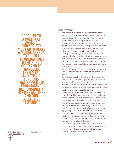**Parallel to a political agenda our society must articulate a moral agenda TO FUL its obligations TO THE PUB good and to transcend THE RA and ethnic tensions that prevent us from taking responsibility for one another and our collective future.**

#### 72 Ibid, p. 40.

#### Recommendations

- Public and private funds should be increased to promote adult education programs that help Latinos earn their GED, attend English-language classes, and access information technology training that will provide a foundation for continued skill development and opportunities for upward mobility.
- Community colleges, trade schools and community-based organizations should assist low-skilled immigrants to create a practical career ladder by tying English instruction and vocational training to advancement within specific industries such as restaurants, hotels, tourism, and health care.<sup>68</sup>
- Business, private foundations, government, labor and community-based organizations should increase funding and form partnerships to provide holistic job training that is inclusive of the incumbent workforce leading to opportunities for practical career ladders in projected growth economic sectors such as the service industry, education, health, transportation, skilled manufacturing, and transportation.
- Financial institutions, employers, schools, and community-based organizations need to expand existing efforts to increase financial literacy through bilingual programs.<sup>69</sup>
- Organized labor should partner with Latino community leaders and potential employers to increase access to meaningful job training and opportunities for Latino workers in the building trades and related areas.
- Trade organizations, professional associations, and unions must increase Latino membership to allow them to expand their professional networks and increase opportunities for continued professional development.
- State and professional accreditation organizations should establish a system for accreditation of skills acquired in other countries, to allow for an increase of qualified bilingual staff in industries currently struggling to meet a growing Latino population and build upon already acquired professional skills.
- Latino entrepreneurs should partner with private investors, banks and government agencies to expand their businesses through venture capital and shared equity. At the same time, municipalities should support Latino entrepreneurship by offering technical assistance and providing financial education.<sup>70</sup>
- Latino business owners should expand their networking and skill building opportunities by participating in local chambers of commerce, community development corporations, labor organizations and other networks, and these groups should reach out to Latino business owners.<sup>71</sup>
- Latino professional organizations should partner with retired professionals and other leaders in the corporate, medical, legal, and technical professions to create networking and mentoring opportunities that foster advancement of Latinos into upper management positions and boards.<sup>72</sup>

<sup>&</sup>lt;sup>68</sup> Illinois Coallition for Immigrant and Refugee Rights, (2005), p.17. 69 Doetsch, Muñana & Silva, (2006), p. 47.

<sup>70</sup> Ibid, p. 44.

<sup>71</sup> Ibid, p. 44.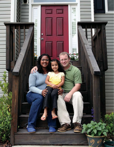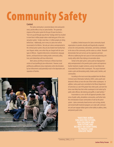# Community Safety

#### **Context**

The Latino community is concerned about crime and punishment, and the effects it has on Latino families. The systematic response of the justice system for the past 20 years has been a "lock-em up and through away the key" strategy which has resulted in more than 6 million people nation-wide being part of the criminal justice system. To date, more than 2.2 million people are sitting behind bars. Additionally, one in every six Latino men will be incarcerated in his lifetime. Not only are Latinos overrepresented in the criminal justice system, they are also treated more harshly than non-Hispanic whites, even when they are charged with the same types of offenses. Targeted enforcement, mistreatment, language barriers, and biased decision making erodes community safety, trust, and relationships with law enforcement.

Both Latinos and African Americans in Illinois have been victims of racial profiling by law enforcement. However, racial profiling has additional serious implications when discrimination by law enforcement could potentially result in the deportation and separation of families.



organizations to provide culturally and linguistically competent services for crime prevention, intervention, and reentry contributes to the stress of the community, and the nation as a whole. Research demonstrates that such services are less expensive and more effective at addressing the root causes of crime and protecting community safety rather than relying on incarceration alone.

Similar to the adult system, Latino youth are disproportionately overrepresented in the juvenile justice system and experience harsher treatment, tougher sentences, and are more likely to be incarcerated than their white counterparts. This unjust treatment creates a grim and devastating reality: broken youth, families, and communities.

In addition, limited resources for Latino community-based<br> **220Ios to** provide culturally and limguistically competent<br> **22**Is of roof me prevention, intervention, and renatry contributes<br>
stress of the community, and the According to the most recent data available from the Illinois Criminal Justice Information Authority (2003), Latino youth were detained in Illinois at twice the rate of their white counterparts. In addition, Latino youth were committed to the Illinois Department of Corrections at a rate 45% greater than white youth, and were five times more likely than their white counterparts to be locked up for public order offenses, like loitering and graffiti, in state facilities.73

Incarceration as a one-size fits all approach provides a false sense of public safety, destabilizes communities, and further fuels the criminalization of poor communities of color by the justice system. Latino community-based services such as drug, alcohol, and mental health treatment programs can create safer communities and save taxpayer dollars given to their ability to address, deter, and prevent youth crime.

> **"nuestros niños son nuestro futuro, our children are our future and we must do everything to protect and educate them"**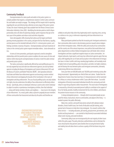#### Community Feedback

Overrepresentation for Latino youth and adults in the justice system is a complex problem that requires a comprehensive solution in which Latino communities and leaders are ready to engage. This strategy will first require truth in reporting regarding the race and ethnicity data collection at every stage of the justice system. To date, the closest "relatively good" data available from the Illinois Criminal Justice Information Authority is from 2003. Identifying the decision points at which disproportionality exists will allow for planning strategic system responses that get at the root cause of the problem and reduce racial and ethnic disparities.

Given demographic shifts showing that Latinos are the largest and fastest growing minority population in the country, and given the fact that fairness, equality, and due process are the intended hallmarks of the U.S. criminal justice system, such findings constitute a travesty of injustice. Overrepresentation and harsh treatment of Latinos in the criminal justice system require immediate redress. Justice demands no less.

In terms of crime prevention, participants expressed a need to strengthen relationships with the juvenile justice system to address the root causes of crime and violence while reducing the overrepresentation of Latinos in both the adult criminal and juvenile justice system.

The Latino community is significantly affected by racial profiling because it is not only targeted by local and state law enforcement agencies, but also by federal agencies including the Bureau of Immigration and Customs Enforcement (ICE) and the Bureau of Customs and Border Protection (BCBP). Joint operations between local/state and federal law enforcement agencies are becoming a routine method of law enforcement overstepping the bounds of the Constitution in the name of immigration and drug enforcement. The use of racial profiling tactics not only violates civil rights, but also undermines the ability of law enforcement to effectively enforce the law. Specifically, when an individual's ethnicity is used to select which individual to subject to routine or spontaneous investigatory activities, then that individual — along with family members, friends, and neighbors — loses trust in the integrity of law enforcement. As a result, public safety is placed in jeopardy because members of these communities fear harassment and abuse by the police and therefore are

> **Overrepresentation and harsh treatment of Latinosin the criminal justicesystem require immediate redress. Justice demands no less.**

unlikely to seek police help when they legitimately need it: reporting crime, serving as a witness or on a jury, or otherwise cooperating with law enforcement in an investigation.

Many participants pointed out that the increasing anti-immigrant sentiment in their communities often results in discriminatory practices toward Latinos independent of their immigration status. While the safety and security of our communities and the country are of the utmost importance, new policies that would allow local police departments to enforce federal immigration laws will hinder other criminal investigations and have a significant negative impact on Latino communities. Immigrant advocates, legal experts, and many law enforcement agencies agree that any policy shift regarding the use of state and local police in the enforcement of immigration laws is in direct conflict with long-standing legal tradition; will inevitably result in higher levels of racial profiling, police misconduct, and other civil rights violations; and will destroy the trust between police and immigrant communities, ultimately undermining effective law enforcement

Every year there are 600,000 adults and 100,000 youth reentering society after being incarcerated. Approximately one-third of them are Latinos. Studies from the Department of Justice show that more than 2/3 released prisoners will be rearrested for a felony or a serious misdemeanor within 3 years after their release. Successful reintegration of formerly incarcerated individuals benefits the community and individual in ways that go beyond a dollar measurement. The social value of reintegration is measured by a formerly incarcerated person's ability to contribute to the support of his or her family, provide a healthy environment for his or her children, and enhance the positive human resources in the community.

A strong reintegration process—through which incarcerated people are prepared for release, leave prison, return to communities, and adjust to free living—is needed to protect the public effectively.

Many men, women, and youth leave prison and jail with substance abuse disorders, chronic health issues, low-levels of education and job training, and a general lack of resources to help them truly reintegrate. Yet, research confirms that these services — including education, job training, job placement, job retention, and alcohol and drug treatment — are essential to help formerly incarcerated individuals obtain work, housing, and avoid recidivism.

Community safety issues are encompassed by the vast majority of other issues within this policy paper. The policy directions outlined below seek to eliminate the most critical barriers that prevent Latino families from securing the kind of safety and stability that will allow them to achieve a quality of life that fosters long-term success.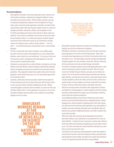#### Recommendations

- Bring together local leaders, community organizations, police, educators and church leaders to develop a comprehensive strategy that addresses community safety and community cohesion. With the ability to provide a vast array of culturally and linguistically competent services throughout the Chicago region, Latino community-based organizations and leaders are ready to build a partnership for public safety that leverages available resources to sustain and strengthen prevention, intervention, aftercare, and reintegration services.
- The 2004 racial profiling law focused on data collection in Illinois needs to be reinforced. A ban needs to be established, and sanctions for those who violate this ban should be enforced. Law enforcement agencies should be required to document all law enforcement contacts by race and ethnicity, including contacts not resulting in arrest, in order to monitor whether — and, if so, when — law enforcement practices and procedures result in racial and ethnic disparities.
- The State, in partnership with research institutions, must carefully analyze the points in the justice system where disparities occur, such as during arrest, detention, waiver to adult court, and confinement. It is necessary to look closer at the practices, policies, and programs that enable disparities to exist and commit ourselves to partnership for reform.
- Alternatives to incarceration for non-violent offenders, including low-level drug offenders and youth offenders, should be designed, implemented, adequately funded, and regularly assessed by law enforcement and community-based organizations. These approaches should increase public safety, reduce the prison population, control and decrease prison costs, and create greater opportunities for communities to thrive.
- Systematic, uniform data collection procedures to determine the proportion of Latinos being processed at each stage of interaction with the justice system in each county across Illinois should be established by the State. Without consistently applied, sound data collection methods, we cannot trust that racial and ethnic profiles of the U.S. prison population are accurate, nor can we track and address disparities based on profiles or know whether we are providing adequate services for Latinos.



#### **The political and civic participation of the Latin0 community has increased the number of Latino elected officials**

- Municipalities and police departments should start with dialogue and understanding, not just stricter enforcement of regulations
- Philanthropic and business communities must ensure that Latino communitybased organizations are not left out of the funding streams. Many Latino community-based organizations are in the heart of communities where crime and violence occurs. Increased funding to provide culturally and linguistically competent programs for crime prevention, intervention, aftercare, and reentry will ensure decreased crime rates and build stronger communities.
- The number of culturally competent Latino and bilingual professionals in state and local criminal justice agencies should be increased. When the system is more "user-friendly," the goals of fairness and justice are more likely to be achieved. This can be done by recruiting, hiring, and training more attorneys, public defenders, and advocates who are Latino, or who speak Spanish and are culturally competent, to direct and conduct services for Latinos; and by ensuring that numbers of Latino employees at all levels closely reflect the numbers of Latinos served by criminal justice agencies, both public and private.
- Work with community leaders and national Latino organizations to develop and implement a training program in cultural competence aimed at increasing participants' understanding of the unique issues and challenges confronting Latinos within their respective jurisdictions.
- Secure additional funding to ensure that law enforcement, justice system, education, and mental health professionals are adequately trained in Spanish language and in cultural competence regarding specific Latino ethnic groups.
- Law enforcement and community-based organizations must work together to establish community workshops that explain victim and offender rights and protection laws, promote neighborhood watches, and conflict resolution training for youth and adults.
- Work more closely with community-based organizations for prevention, intervention, aftercare, and as alternatives to incarceration for low-level, nonviolent offenders. Currently, the Latino community is severely under-utilized as the first best defense for preventing and addressing crime and violence when it occurs. The Latino community has a vested interested in reducing crime, given that we are also many times the victim.
- School districts and community-based organizations should work together to ensure that there are after-school and recreational activities, and youth leadership development to keep children and adolescents involved and motivated to succeed. Such approaches provide alternatives to gang affiliation.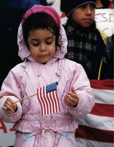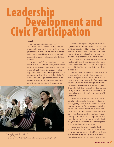# Leadership<br>Development and Civic Participation

#### **Context**

Given current and projected population growth, the Latino community must achieve sustainable, proportionate civic participation while broadening the social agenda for equality and opportunity for all Americans. To do this Latinos must continue to develop strong leadership skills to advocate on their own behalf and participate in the decision-making processes that affect their quality of life.

Latinos are already 20% of the population and are expected to be 33% by 2030. Now is the time to identify, train and promote Latinos in key policy-making positions. Leadership development programs that include training in facilitating decision-making, bringing about conflict resolution, and working with people of various backgrounds are all valuable skills needed for leadership. But, programs also should build upon the existing strengths of Latino cultural and social values to offer unique approaches to solving community issues. Most importantly of all, Latinos must vote.



74 Doetsch, Muñana, & Silva, (2006), p. 74. 75 Ibid, p.76-77. 76 Southern Poverty Law Center. http://www.splcenter.org/intel/intelreport/article.jsp?aid=886  $77$  Ibid.

registered tend to turn out in high numbers. In 2004 almost 86% of all Latino registered voters did in fact vote, up from 83% in the November 2000 election.<sup>74</sup> When Latinos vote they tend to focus their civic efforts on issues such as affordable housing, access to better jobs, and equitable schools. Legal permanent residents represent a massive voting potential among Latinos, however, they must become U.S. citizens first, and citizenship has become more difficult and expensive to obtain. Increasingly complex paperwork, increased difficulty of citizenship tests, and a rise in naturalization application fees.<sup>75</sup>

One threat to Latino civic participation is the increasing action of hate groups. Studies by the Anti-Defamation League and the Southern Poverty Law Center have shown that hate crimes against Latinos are on the rise, and that the number of hate groups has risen 30% since 2000.76 Twenty-three such hate groups exist within Illinois, 19 of them centered within the metropolitan Chicago region.<sup>77</sup> To counter the effects of these groups, Latinos and justice-minded civic organizations must band together and work toward creating a more pluralistic society that better reflects the true diversity of the United States.

**Despite low voter registration rates, those Latinos who are<br>event end to turn out in high numbes. In 2004 almost 86%<br>adino registered voters did in fact wote, up from 38% in the<br>beher 2000 election.<sup>24</sup> When Latinos vote** Despite these impediments — and as a testament to the spiritual and cultural strength of the community — Latinos are increasingly taking action in the political arena, be it in the voting booth or on the streets. In 2003, Latino legislators organized the first Latino Caucus in Illinois, and the number of elected Latino officials in municipal, county and state government has increased steadily in recent years due to coalition-building and changing demographics. The political and civic participation of the Latino community has not only increased the number of Latino elected officials, but Latinos are also organizing locally to form support groups in both the United States and countries of origin.

One example of this has been the growth of Hometown Associations (HTAs) which are based on social networks maintained by immigrants who have come to the United States from the same town or village, most often in Mexico though HTAs formed by Guatemalans, Dominicans, and Salvadorans are increasing. These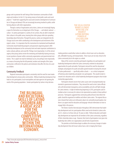groups seek to promote the well-being of their hometown communities of both origin and residence (in the U.S.) by raising money to fund public works and social projects.78 Aside from supporting the social and economic development of communities in Chicago and abroad, HTAs are increasingly becoming involved in politics while forming alliances with other organizations.

Through a variety of organizations and actions, Latinos are increasingly forging a space for themselves as an integral part of the Chicago — and indeed, national culture. As Latinos participate in a variety of civic actions, they are able to represent their cultures in the public arena, learning from other groups while also spreading knowledge about themselves. Through this process, Latinos are integrated into the Chicago social scene while contributing to the development and enrichment of the region's culture. It is imperative that this momentum be maintained and broadened. Community-based leadership programs and grassroots organizing projects offer leadership development at the community level and make important contributions to Latino cultural, political, and social life. Perhaps most importantly, it is of the utmost urgency that young Latinos receive the mentoring and leadership training necessary to earn positions of power within community organizations and governmental institutions. This is urgent not only for individual success, but perhaps more importantly as a means of ensuring that the full potential, wisdom and strength of the Latino community is reflected in the policies and institutions that affect the lives of us and our children.

#### Community Feedback

Regional conversation participants consistently cited the need for more leadership development among Latino communities. Without leadership development that leads to civic participation, local municipalities and state agencies risk ignoring the needs of this growing population. Greater participation by Latinos in key decision-



#### **The Selig Center ranks Illinois with the 5th highest Latino buying power at \$34.8 billion in 2006**

making positions would allow Latinos to address critical issues such as education, jobs, affordable housing, and transportation. These issues are not only critical to the Latino community but to the region as a whole.

Many of the concerns voiced by participants regarding civic participation and leadership development within the Latino community centered on educational opportunities for youth and adults. Participants stressed the need for educational strategies and programs for youth and adults geared towards increasing the amount of Latino professionals — specifically within schools — as a critical component of fostering Latino leadership and greater civic participation. This would include increased civic education and in-school leadership development programs that include mentorship opportunities.

Participants showed concern that Latino causes were not proportionately represented in government institutions. They stressed the need to elect Latino officials who will demonstrate transparency and accountability and who will fight strongly for Latino interests. In light of redistricting beginning in 2010, participants said immediate action is necessary for Latinos to be represented accurately in future political processes. Participants suggested that community political forums that inform the public should be organized to mobilize and inform Latino voters. The regional discussions showed that Latinos are enthusiastic about civic and political participation, but there is an urgent need for education and language-relevant information on how to engage fully in the process.

The historic marches that took place throughout 2005 demonstrate that leadership development and civic participation efforts need not be limited to Latinos who are U.S. citizens or to those who are 18-years or older. Political education and leadership development are important for all members of the Latino community, regardless of their citizenship status or age. However, their levels of participation must grow into leadership roles within civic organizations and all levels of government.

The priorities set forth below begin to address the necessary changes in leadership development that will ensure Latinos have a role in shaping their future.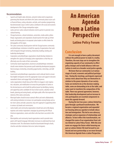#### Recommendations

- Spanish and English radio, television, and print media need to expand programming that educates and informs the Latino community about issues such as financial literacy, voting, education, and jobs, and to produce programming that demonstrates ways in which Latinos contribute to the social and economic development of the Chicago metropolitan region.
- Latino and non-Latino cultural institutions need to partner to promote crosscultural learning.
- Chicago businesses, cultural institutions, universities, media outlets, philanthropic organizations and corporations should examine the make up of their boards and develop plans to incorporate Latino leaders to reflect better the demographics of the region.
- The Latino community should partner with the Chicago business community and philanthropic institutions to build the capacity of organizations that work with immigrants through mentoring, relationship-building, funding and leadership development.
- Corporations and philanthropic organizations should develop initiatives to strengthen the capacity of emerging Latino organizations so that they can effectively serve the needs of their communities.
- Community-based organizations, businesses and philanthropic institutions should create initiatives that promote youth leadership development programs that encompass mentorship, networking opportunities, internships, and skill building.
- Government and philanthropic organizations need to allocate funds to ensure that eligible immigrants receive the appropriate classes and support to become naturalized citizens and engage fully in the political process.
- Latino organizations should step up their efforts to engage in voter registration, education, and mobilization to increase the participation of Latinos in the electoral process and to build the political power by identifying, training and supporting Latino candidates for local school councils, suburban school boards, planning and zoning boards, and higher public office that represent the interests of the Latino community.
- Municipal leaders should increase outreach efforts and work collaboratively with existing institutions to increase civic participation among foreign and native-born Latinos and take a proactive, long-term approach to appointing them to various city boards and commissions.
- Latino leaders and community organizations should train and certify deputy registrars and conduct registration campaigns by partnering with African American organizations, unions and others who have been successful in this area.
- Municipalities and community-based organizations need to provide immigrants with Spanish language information necessary to understand how local institutions work. This information should be disseminated through schools, churches and other institutions that serve Latino immigrants.

## An American Agenda from a Latino **Perspective**

### **Latino Policy Forum**

### Conclusion

**It is not enough to have a policy document without the political power to make it a reality. Therefore, the next steps are to strengthen the organizing capacity of our community to effect policy changes and to build alliances with non-Latinos to work on a broader social justice agenda.** 

**We know that our community is at various stages of social, economic and political participation. During the meetings, participants expressed various views about how they see themselves in relation to the power dynamics of our society. Some are invited to be at the decision-making table, some are demanding to be at the table, and some want to transform the composition of the table. There was general agreement, however, that leadership development and an increase in civic participation are essential components to move this agenda forward.** 

**During the last two years, Latinos United has gone through a profound transformation. We became a regional organization and expanded our housing advocacy agenda to include education and immigration. This led to new advocacy strategies and an expansion of relationships and alliances. To best reflect this transformation, we changed the name of our organization from Latinos United to Latino Policy Forum. With this new name we engage the future while honoring our past as Latinos United. We look forward to continued and new partnerships as we move forward this American Agenda from a Latino Perspective.**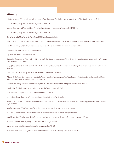#### **Bibliography**

Alejo, B., & Puente, S., (2007). Forging the Tools for Unity, A Report on Metro Chicago Mayors Roundtable on Latino Integration. University of Notre Dame Institute for Latino Studies.

American Community Survey 2006. http://www.census.gov/acs/www/index.html

Centers for Disease Control and Prevention, Office of Minority Health website. http://www.cdc.gov/omh/Populations/HL/HHP/ATSDR.htm

American Community Survey 2006. http://www.census.gov/acs/www/index.html

Chicago Metropolis 2020 & the Metropolitan Mayors Caucus (2007). Homes for a Changing Region.

Doetsch, D., Muñana, C., & Silva, A., (2006). A Shared Future: The Economic Engagement of Greater Chicago and its Mexican Community. Sponsored by The Chicago Council on Global Affairs.

Doty, M. & Holmgren, A., (2005). Health Care Disconnect: Gaps in Coverage and Care for Minority Adults, Findings from the Commonwealth Fund.

Hispanic National Mortgage Association. http://www.hnma.com

HispanTelligence®. http://www.hispanicbusiness.com

Illinois Coalition for Immigrant and Refugee Rights, (2006). For the Benefit of All; Strategic Recommendations to Enhance the State's Role in the Integration of Immigrants in Illinois. Report of the New Americans Policy Council, Year One.

Judis, J., (2008). Trade Secrets: The Real Problem with NAFTA. The New Republic, April 9th, 2008. http://www.carnegieendowment.org/publications/index.cfm?fa=view&id=20009&prog=zg p&proj=zusr

Latinos United, (2007). A Critical Policy Imperative: Making Preschool Education Work for Latinos in Illinois.

Miller, L.S., (2003). Working More Productively to Produce Similar Patterns of Educational Performance among Racial/Ethnic Groups in the United States. New York: Teachers College, ERIC Clearinghouse on Urban Education, Institute for Urban and Minority Education.

National Task Force on Early Childhood Education for Hispanics (March 2007). Para Nuestros Niños; Expanding and Improving Early Education for Hispanics.

Nixon, R., (2006). Study Predicts Foreclosure for 1 in 5 Subprime Loans. New York Times, December 20, 2006.

Northeastern Illinois Planning Commission, (2003). Commission Endorsed 2040 Forecast.

Passel, J., (2006). Size and Characteristics of the Unauthorized Migrant Population in the U.S. Pew Hispanic Center.

Public Broadcast Stations, (2004). POV. Mexican Hometown Associations; Sociologist Xochitl Bada Examines the Growing Movement. http://www.pbs.org/pov/pov2003/thesixthsection/special\_mexican.html

Ready, T. & Brown-Gort, A., (2005). State of Latino Chicago; This is home now. University of Notre Dame Institute for Latino Studies.

Roth, B., (2007). Bajo el Mismo Techo; The Latino Community in Suburban Chicago: An analysis of overcrowded housing. Latinos United.

Santa Fe New Mexican, (2006). Immigration: Border Crossing Deaths Soar. Santa Fe New Mexican.com. http://www.freenewmexican.com/news/49231.html

Selig Center for Economic Growth, Terry College of Business, The University of Georgia, June 2006.

Southern Poverty Law Center. http://www.splcenter.org/intel/intelreport/article.jsp?aid=886

Ziedenberg, J., (2006). Models for Change: Building Momentum For Juvenile Justice Reform, A Justice Policy Institute Report. 2006: 21-22.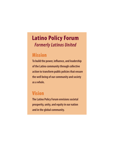## **Latino Policy Forum** *Formerly Latinos United*

## Mission

**To build the power, influence, and leadership of the Latino community through collective action to transform public policies that ensure the well being of our community and society as a whole.** 

## Vision

**The Latino Policy Forum envisions societal prosperity, unity, and equity in our nation and in the global community.**